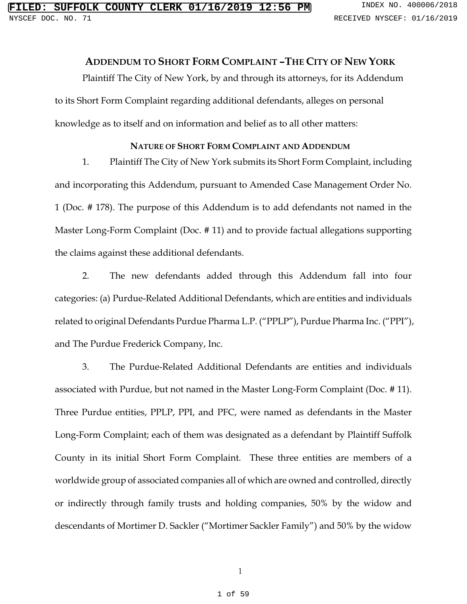## **ADDENDUM TO SHORT FORM COMPLAINT –THE CITY OF NEW YORK**

Plaintiff The City of New York, by and through its attorneys, for its Addendum to its Short Form Complaint regarding additional defendants, alleges on personal knowledge as to itself and on information and belief as to all other matters:

## **NATURE OF SHORT FORM COMPLAINT AND ADDENDUM**

1. Plaintiff The City of New York submits its Short Form Complaint, including and incorporating this Addendum, pursuant to Amended Case Management Order No. 1 (Doc. # 178). The purpose of this Addendum is to add defendants not named in the Master Long-Form Complaint (Doc. # 11) and to provide factual allegations supporting the claims against these additional defendants.

2. The new defendants added through this Addendum fall into four categories: (a) Purdue-Related Additional Defendants, which are entities and individuals related to original Defendants Purdue Pharma L.P. ("PPLP"), Purdue Pharma Inc. ("PPI"), and The Purdue Frederick Company, Inc.

3. The Purdue-Related Additional Defendants are entities and individuals associated with Purdue, but not named in the Master Long-Form Complaint (Doc. # 11). Three Purdue entities, PPLP, PPI, and PFC, were named as defendants in the Master Long-Form Complaint; each of them was designated as a defendant by Plaintiff Suffolk County in its initial Short Form Complaint. These three entities are members of a worldwide group of associated companies all of which are owned and controlled, directly or indirectly through family trusts and holding companies, 50% by the widow and descendants of Mortimer D. Sackler ("Mortimer Sackler Family") and 50% by the widow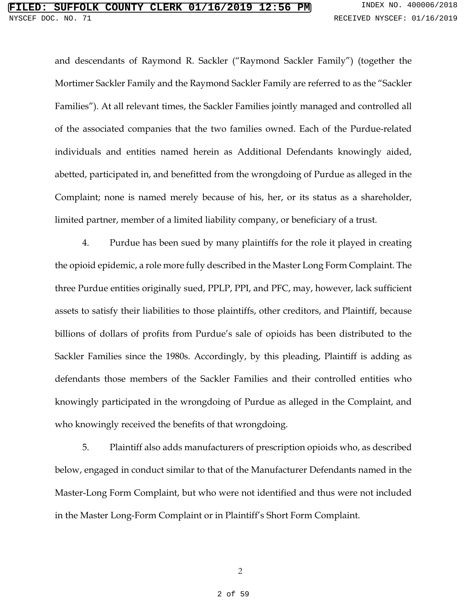and descendants of Raymond R. Sackler ("Raymond Sackler Family") (together the Mortimer Sackler Family and the Raymond Sackler Family are referred to as the "Sackler Families"). At all relevant times, the Sackler Families jointly managed and controlled all of the associated companies that the two families owned. Each of the Purdue-related individuals and entities named herein as Additional Defendants knowingly aided, abetted, participated in, and benefitted from the wrongdoing of Purdue as alleged in the Complaint; none is named merely because of his, her, or its status as a shareholder, limited partner, member of a limited liability company, or beneficiary of a trust.

4. Purdue has been sued by many plaintiffs for the role it played in creating the opioid epidemic, a role more fully described in the Master Long Form Complaint. The three Purdue entities originally sued, PPLP, PPI, and PFC, may, however, lack sufficient assets to satisfy their liabilities to those plaintiffs, other creditors, and Plaintiff, because billions of dollars of profits from Purdue's sale of opioids has been distributed to the Sackler Families since the 1980s. Accordingly, by this pleading, Plaintiff is adding as defendants those members of the Sackler Families and their controlled entities who knowingly participated in the wrongdoing of Purdue as alleged in the Complaint, and who knowingly received the benefits of that wrongdoing.

5. Plaintiff also adds manufacturers of prescription opioids who, as described below, engaged in conduct similar to that of the Manufacturer Defendants named in the Master-Long Form Complaint, but who were not identified and thus were not included in the Master Long-Form Complaint or in Plaintiff's Short Form Complaint.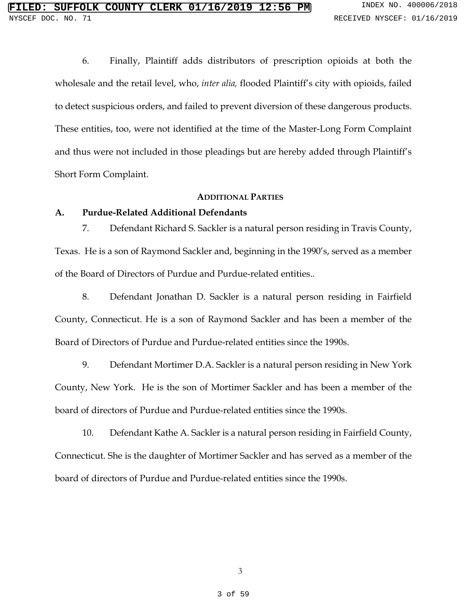6. Finally, Plaintiff adds distributors of prescription opioids at both the wholesale and the retail level, who, *inter alia,* flooded Plaintiff's city with opioids, failed to detect suspicious orders, and failed to prevent diversion of these dangerous products. These entities, too, were not identified at the time of the Master-Long Form Complaint and thus were not included in those pleadings but are hereby added through Plaintiff's Short Form Complaint.

### **ADDITIONAL PARTIES**

#### **A. Purdue-Related Additional Defendants**

7. Defendant Richard S. Sackler is a natural person residing in Travis County, Texas. He is a son of Raymond Sackler and, beginning in the 1990's, served as a member of the Board of Directors of Purdue and Purdue-related entities..

8. Defendant Jonathan D. Sackler is a natural person residing in Fairfield County, Connecticut. He is a son of Raymond Sackler and has been a member of the Board of Directors of Purdue and Purdue-related entities since the 1990s.

9. Defendant Mortimer D.A. Sackler is a natural person residing in New York County, New York. He is the son of Mortimer Sackler and has been a member of the board of directors of Purdue and Purdue-related entities since the 1990s.

10. Defendant Kathe A. Sackler is a natural person residing in Fairfield County, Connecticut. She is the daughter of Mortimer Sackler and has served as a member of the board of directors of Purdue and Purdue-related entities since the 1990s.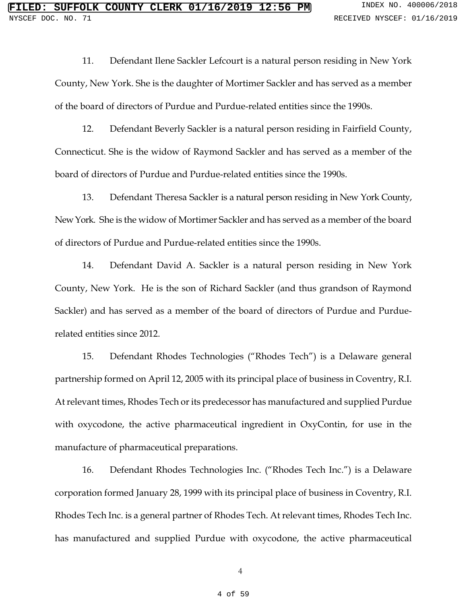11. Defendant Ilene Sackler Lefcourt is a natural person residing in New York County, New York. She is the daughter of Mortimer Sackler and has served as a member of the board of directors of Purdue and Purdue-related entities since the 1990s.

12. Defendant Beverly Sackler is a natural person residing in Fairfield County, Connecticut. She is the widow of Raymond Sackler and has served as a member of the board of directors of Purdue and Purdue-related entities since the 1990s.

13. Defendant Theresa Sackler is a natural person residing in New York County, New York. She is the widow of Mortimer Sackler and has served as a member of the board of directors of Purdue and Purdue-related entities since the 1990s.

14. Defendant David A. Sackler is a natural person residing in New York County, New York. He is the son of Richard Sackler (and thus grandson of Raymond Sackler) and has served as a member of the board of directors of Purdue and Purduerelated entities since 2012.

15. Defendant Rhodes Technologies ("Rhodes Tech") is a Delaware general partnership formed on April 12, 2005 with its principal place of business in Coventry, R.I. At relevant times, Rhodes Tech or its predecessor has manufactured and supplied Purdue with oxycodone, the active pharmaceutical ingredient in OxyContin, for use in the manufacture of pharmaceutical preparations.

16. Defendant Rhodes Technologies Inc. ("Rhodes Tech Inc.") is a Delaware corporation formed January 28, 1999 with its principal place of business in Coventry, R.I. Rhodes Tech Inc. is a general partner of Rhodes Tech. At relevant times, Rhodes Tech Inc. has manufactured and supplied Purdue with oxycodone, the active pharmaceutical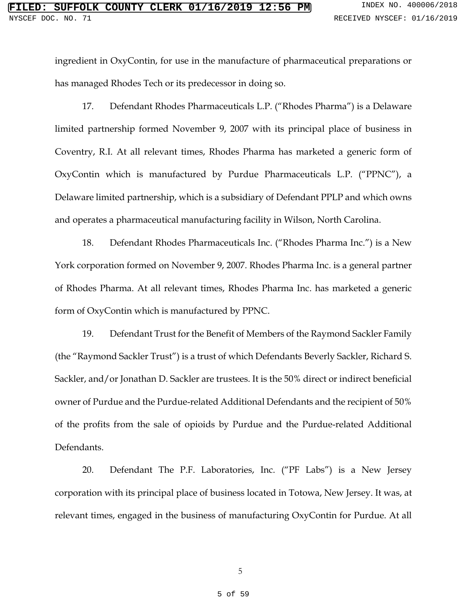ingredient in OxyContin, for use in the manufacture of pharmaceutical preparations or has managed Rhodes Tech or its predecessor in doing so.

17. Defendant Rhodes Pharmaceuticals L.P. ("Rhodes Pharma") is a Delaware limited partnership formed November 9, 2007 with its principal place of business in Coventry, R.I. At all relevant times, Rhodes Pharma has marketed a generic form of OxyContin which is manufactured by Purdue Pharmaceuticals L.P. ("PPNC"), a Delaware limited partnership, which is a subsidiary of Defendant PPLP and which owns and operates a pharmaceutical manufacturing facility in Wilson, North Carolina.

18. Defendant Rhodes Pharmaceuticals Inc. ("Rhodes Pharma Inc.") is a New York corporation formed on November 9, 2007. Rhodes Pharma Inc. is a general partner of Rhodes Pharma. At all relevant times, Rhodes Pharma Inc. has marketed a generic form of OxyContin which is manufactured by PPNC.

19. Defendant Trust for the Benefit of Members of the Raymond Sackler Family (the "Raymond Sackler Trust") is a trust of which Defendants Beverly Sackler, Richard S. Sackler, and/or Jonathan D. Sackler are trustees. It is the 50% direct or indirect beneficial owner of Purdue and the Purdue-related Additional Defendants and the recipient of 50% of the profits from the sale of opioids by Purdue and the Purdue-related Additional Defendants.

20. Defendant The P.F. Laboratories, Inc. ("PF Labs") is a New Jersey corporation with its principal place of business located in Totowa, New Jersey. It was, at relevant times, engaged in the business of manufacturing OxyContin for Purdue. At all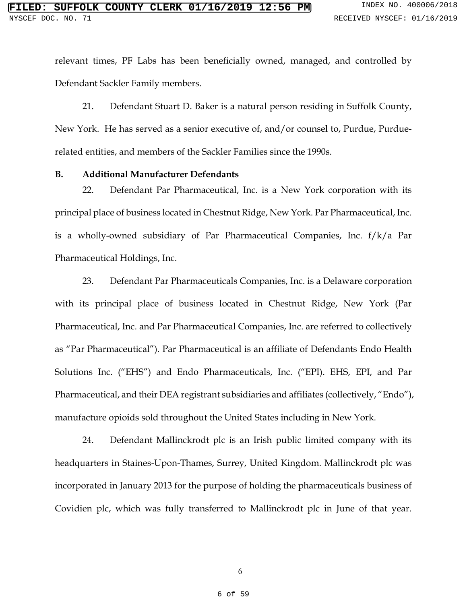relevant times, PF Labs has been beneficially owned, managed, and controlled by Defendant Sackler Family members.

21. Defendant Stuart D. Baker is a natural person residing in Suffolk County, New York. He has served as a senior executive of, and/or counsel to, Purdue, Purduerelated entities, and members of the Sackler Families since the 1990s.

### **B. Additional Manufacturer Defendants**

22. Defendant Par Pharmaceutical, Inc. is a New York corporation with its principal place of business located in Chestnut Ridge, New York. Par Pharmaceutical, Inc. is a wholly-owned subsidiary of Par Pharmaceutical Companies, Inc. f/k/a Par Pharmaceutical Holdings, Inc.

23. Defendant Par Pharmaceuticals Companies, Inc. is a Delaware corporation with its principal place of business located in Chestnut Ridge, New York (Par Pharmaceutical, Inc. and Par Pharmaceutical Companies, Inc. are referred to collectively as "Par Pharmaceutical"). Par Pharmaceutical is an affiliate of Defendants Endo Health Solutions Inc. ("EHS") and Endo Pharmaceuticals, Inc. ("EPI). EHS, EPI, and Par Pharmaceutical, and their DEA registrant subsidiaries and affiliates (collectively, "Endo"), manufacture opioids sold throughout the United States including in New York.

24. Defendant Mallinckrodt plc is an Irish public limited company with its headquarters in Staines-Upon-Thames, Surrey, United Kingdom. Mallinckrodt plc was incorporated in January 2013 for the purpose of holding the pharmaceuticals business of Covidien plc, which was fully transferred to Mallinckrodt plc in June of that year.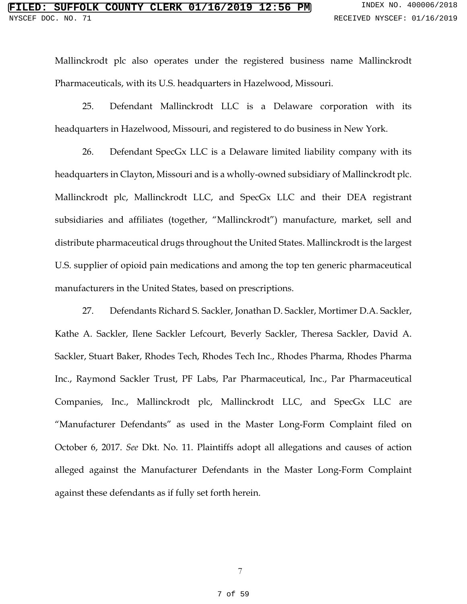Mallinckrodt plc also operates under the registered business name Mallinckrodt Pharmaceuticals, with its U.S. headquarters in Hazelwood, Missouri.

25. Defendant Mallinckrodt LLC is a Delaware corporation with its headquarters in Hazelwood, Missouri, and registered to do business in New York.

26. Defendant SpecGx LLC is a Delaware limited liability company with its headquarters in Clayton, Missouri and is a wholly-owned subsidiary of Mallinckrodt plc. Mallinckrodt plc, Mallinckrodt LLC, and SpecGx LLC and their DEA registrant subsidiaries and affiliates (together, "Mallinckrodt") manufacture, market, sell and distribute pharmaceutical drugs throughout the United States. Mallinckrodt is the largest U.S. supplier of opioid pain medications and among the top ten generic pharmaceutical manufacturers in the United States, based on prescriptions.

27. Defendants Richard S. Sackler, Jonathan D. Sackler, Mortimer D.A. Sackler, Kathe A. Sackler, Ilene Sackler Lefcourt, Beverly Sackler, Theresa Sackler, David A. Sackler, Stuart Baker, Rhodes Tech, Rhodes Tech Inc., Rhodes Pharma, Rhodes Pharma Inc., Raymond Sackler Trust, PF Labs, Par Pharmaceutical, Inc., Par Pharmaceutical Companies, Inc., Mallinckrodt plc, Mallinckrodt LLC, and SpecGx LLC are "Manufacturer Defendants" as used in the Master Long-Form Complaint filed on October 6, 2017. *See* Dkt. No. 11. Plaintiffs adopt all allegations and causes of action alleged against the Manufacturer Defendants in the Master Long-Form Complaint against these defendants as if fully set forth herein.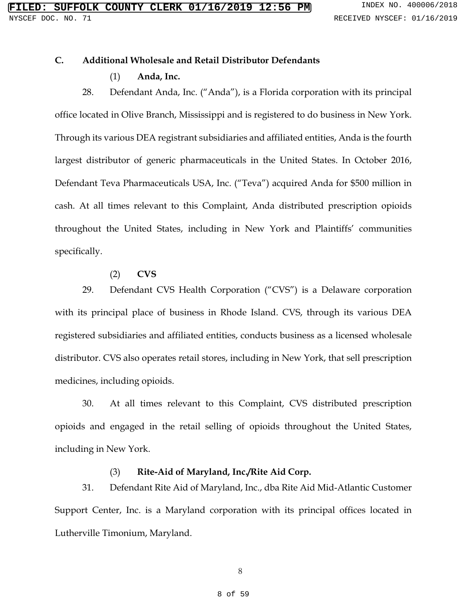## **C. Additional Wholesale and Retail Distributor Defendants**

## (1) **Anda, Inc.**

28. Defendant Anda, Inc. ("Anda"), is a Florida corporation with its principal office located in Olive Branch, Mississippi and is registered to do business in New York. Through its various DEA registrant subsidiaries and affiliated entities, Anda is the fourth largest distributor of generic pharmaceuticals in the United States. In October 2016, Defendant Teva Pharmaceuticals USA, Inc. ("Teva") acquired Anda for \$500 million in cash. At all times relevant to this Complaint, Anda distributed prescription opioids throughout the United States, including in New York and Plaintiffs' communities specifically.

## (2) **CVS**

29. Defendant CVS Health Corporation ("CVS") is a Delaware corporation with its principal place of business in Rhode Island. CVS, through its various DEA registered subsidiaries and affiliated entities, conducts business as a licensed wholesale distributor. CVS also operates retail stores, including in New York, that sell prescription medicines, including opioids.

30. At all times relevant to this Complaint, CVS distributed prescription opioids and engaged in the retail selling of opioids throughout the United States, including in New York.

# (3) **Rite-Aid of Maryland, Inc./Rite Aid Corp.**

31. Defendant Rite Aid of Maryland, Inc., dba Rite Aid Mid-Atlantic Customer Support Center, Inc. is a Maryland corporation with its principal offices located in Lutherville Timonium, Maryland.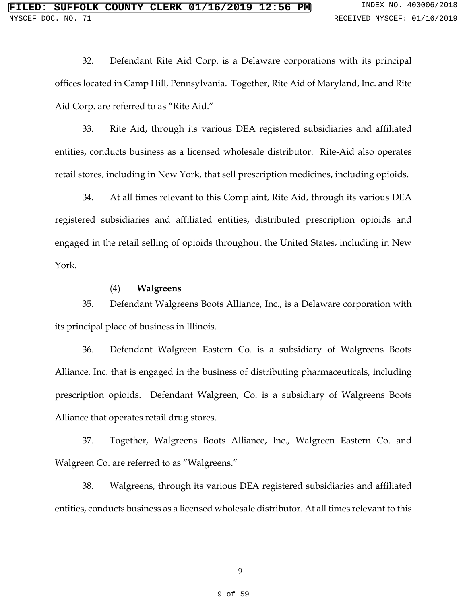32. Defendant Rite Aid Corp. is a Delaware corporations with its principal offices located in Camp Hill, Pennsylvania. Together, Rite Aid of Maryland, Inc. and Rite Aid Corp. are referred to as "Rite Aid."

33. Rite Aid, through its various DEA registered subsidiaries and affiliated entities, conducts business as a licensed wholesale distributor. Rite-Aid also operates retail stores, including in New York, that sell prescription medicines, including opioids.

34. At all times relevant to this Complaint, Rite Aid, through its various DEA registered subsidiaries and affiliated entities, distributed prescription opioids and engaged in the retail selling of opioids throughout the United States, including in New York.

### (4) **Walgreens**

35. Defendant Walgreens Boots Alliance, Inc., is a Delaware corporation with its principal place of business in Illinois.

36. Defendant Walgreen Eastern Co. is a subsidiary of Walgreens Boots Alliance, Inc. that is engaged in the business of distributing pharmaceuticals, including prescription opioids. Defendant Walgreen, Co. is a subsidiary of Walgreens Boots Alliance that operates retail drug stores.

37. Together, Walgreens Boots Alliance, Inc., Walgreen Eastern Co. and Walgreen Co. are referred to as "Walgreens."

38. Walgreens, through its various DEA registered subsidiaries and affiliated entities, conducts business as a licensed wholesale distributor. At all times relevant to this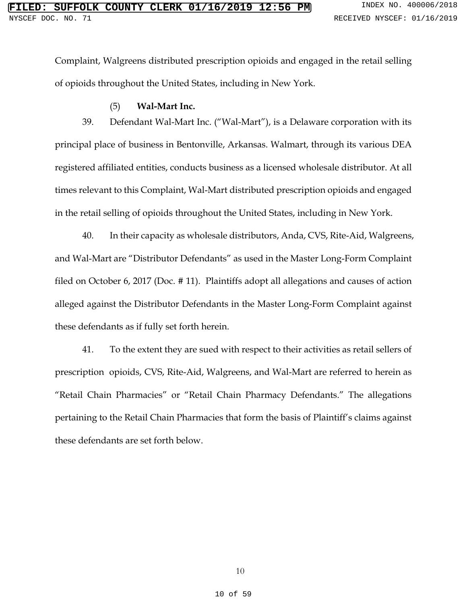Complaint, Walgreens distributed prescription opioids and engaged in the retail selling of opioids throughout the United States, including in New York.

## (5) **Wal-Mart Inc.**

39. Defendant Wal-Mart Inc. ("Wal-Mart"), is a Delaware corporation with its principal place of business in Bentonville, Arkansas. Walmart, through its various DEA registered affiliated entities, conducts business as a licensed wholesale distributor. At all times relevant to this Complaint, Wal-Mart distributed prescription opioids and engaged in the retail selling of opioids throughout the United States, including in New York.

40. In their capacity as wholesale distributors, Anda, CVS, Rite-Aid, Walgreens, and Wal-Mart are "Distributor Defendants" as used in the Master Long-Form Complaint filed on October 6, 2017 (Doc. # 11). Plaintiffs adopt all allegations and causes of action alleged against the Distributor Defendants in the Master Long-Form Complaint against these defendants as if fully set forth herein.

41. To the extent they are sued with respect to their activities as retail sellers of prescription opioids, CVS, Rite-Aid, Walgreens, and Wal-Mart are referred to herein as "Retail Chain Pharmacies" or "Retail Chain Pharmacy Defendants." The allegations pertaining to the Retail Chain Pharmacies that form the basis of Plaintiff's claims against these defendants are set forth below.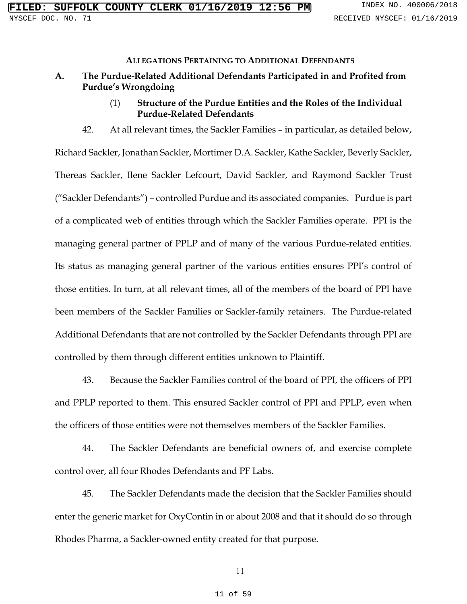#### **ALLEGATIONS PERTAINING TO ADDITIONAL DEFENDANTS**

- **A. The Purdue-Related Additional Defendants Participated in and Profited from Purdue's Wrongdoing** 
	- (1) **Structure of the Purdue Entities and the Roles of the Individual Purdue-Related Defendants**
	- 42. At all relevant times, the Sackler Families in particular, as detailed below,

Richard Sackler, Jonathan Sackler, Mortimer D.A. Sackler, Kathe Sackler, Beverly Sackler, Thereas Sackler, Ilene Sackler Lefcourt, David Sackler, and Raymond Sackler Trust ("Sackler Defendants") – controlled Purdue and its associated companies. Purdue is part of a complicated web of entities through which the Sackler Families operate. PPI is the managing general partner of PPLP and of many of the various Purdue-related entities. Its status as managing general partner of the various entities ensures PPI's control of those entities. In turn, at all relevant times, all of the members of the board of PPI have been members of the Sackler Families or Sackler-family retainers. The Purdue-related Additional Defendants that are not controlled by the Sackler Defendants through PPI are controlled by them through different entities unknown to Plaintiff.

43. Because the Sackler Families control of the board of PPI, the officers of PPI and PPLP reported to them. This ensured Sackler control of PPI and PPLP, even when the officers of those entities were not themselves members of the Sackler Families.

44. The Sackler Defendants are beneficial owners of, and exercise complete control over, all four Rhodes Defendants and PF Labs.

45. The Sackler Defendants made the decision that the Sackler Families should enter the generic market for OxyContin in or about 2008 and that it should do so through Rhodes Pharma, a Sackler-owned entity created for that purpose.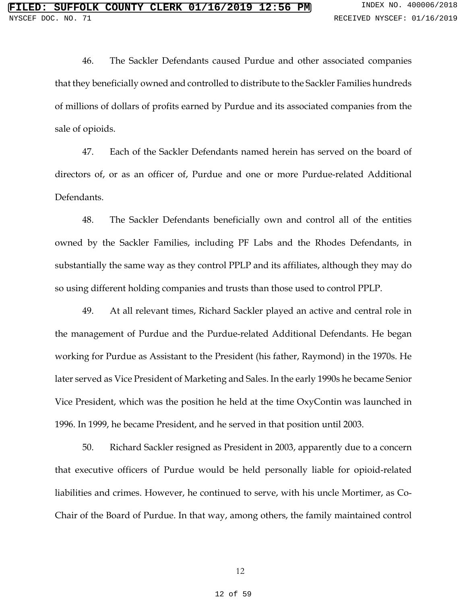46. The Sackler Defendants caused Purdue and other associated companies that they beneficially owned and controlled to distribute to the Sackler Families hundreds of millions of dollars of profits earned by Purdue and its associated companies from the sale of opioids.

47. Each of the Sackler Defendants named herein has served on the board of directors of, or as an officer of, Purdue and one or more Purdue-related Additional Defendants.

48. The Sackler Defendants beneficially own and control all of the entities owned by the Sackler Families, including PF Labs and the Rhodes Defendants, in substantially the same way as they control PPLP and its affiliates, although they may do so using different holding companies and trusts than those used to control PPLP.

49. At all relevant times, Richard Sackler played an active and central role in the management of Purdue and the Purdue-related Additional Defendants. He began working for Purdue as Assistant to the President (his father, Raymond) in the 1970s. He later served as Vice President of Marketing and Sales. In the early 1990s he became Senior Vice President, which was the position he held at the time OxyContin was launched in 1996. In 1999, he became President, and he served in that position until 2003.

50. Richard Sackler resigned as President in 2003, apparently due to a concern that executive officers of Purdue would be held personally liable for opioid-related liabilities and crimes. However, he continued to serve, with his uncle Mortimer, as Co-Chair of the Board of Purdue. In that way, among others, the family maintained control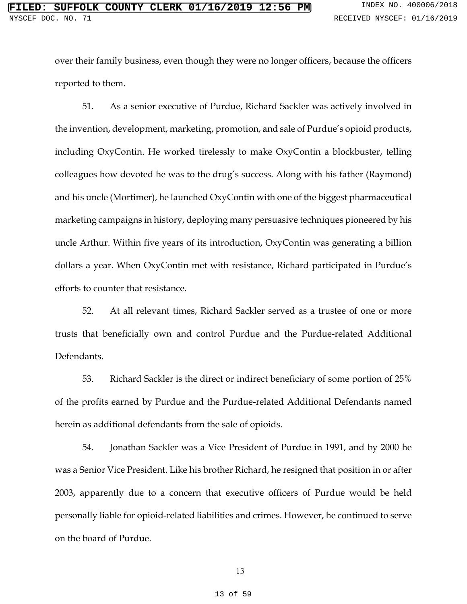over their family business, even though they were no longer officers, because the officers reported to them.

51. As a senior executive of Purdue, Richard Sackler was actively involved in the invention, development, marketing, promotion, and sale of Purdue's opioid products, including OxyContin. He worked tirelessly to make OxyContin a blockbuster, telling colleagues how devoted he was to the drug's success. Along with his father (Raymond) and his uncle (Mortimer), he launched OxyContin with one of the biggest pharmaceutical marketing campaigns in history, deploying many persuasive techniques pioneered by his uncle Arthur. Within five years of its introduction, OxyContin was generating a billion dollars a year. When OxyContin met with resistance, Richard participated in Purdue's efforts to counter that resistance.

52. At all relevant times, Richard Sackler served as a trustee of one or more trusts that beneficially own and control Purdue and the Purdue-related Additional Defendants.

53. Richard Sackler is the direct or indirect beneficiary of some portion of 25% of the profits earned by Purdue and the Purdue-related Additional Defendants named herein as additional defendants from the sale of opioids.

54. Jonathan Sackler was a Vice President of Purdue in 1991, and by 2000 he was a Senior Vice President. Like his brother Richard, he resigned that position in or after 2003, apparently due to a concern that executive officers of Purdue would be held personally liable for opioid-related liabilities and crimes. However, he continued to serve on the board of Purdue.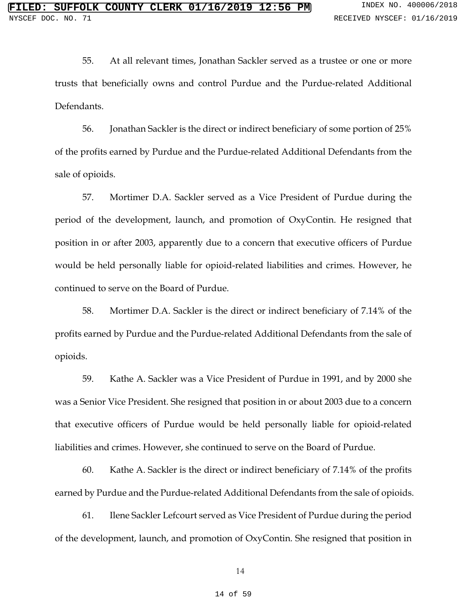55. At all relevant times, Jonathan Sackler served as a trustee or one or more trusts that beneficially owns and control Purdue and the Purdue-related Additional Defendants.

56. Jonathan Sackler is the direct or indirect beneficiary of some portion of 25% of the profits earned by Purdue and the Purdue-related Additional Defendants from the sale of opioids.

57. Mortimer D.A. Sackler served as a Vice President of Purdue during the period of the development, launch, and promotion of OxyContin. He resigned that position in or after 2003, apparently due to a concern that executive officers of Purdue would be held personally liable for opioid-related liabilities and crimes. However, he continued to serve on the Board of Purdue.

58. Mortimer D.A. Sackler is the direct or indirect beneficiary of 7.14% of the profits earned by Purdue and the Purdue-related Additional Defendants from the sale of opioids.

59. Kathe A. Sackler was a Vice President of Purdue in 1991, and by 2000 she was a Senior Vice President. She resigned that position in or about 2003 due to a concern that executive officers of Purdue would be held personally liable for opioid-related liabilities and crimes. However, she continued to serve on the Board of Purdue.

60. Kathe A. Sackler is the direct or indirect beneficiary of 7.14% of the profits earned by Purdue and the Purdue-related Additional Defendants from the sale of opioids.

61. Ilene Sackler Lefcourt served as Vice President of Purdue during the period of the development, launch, and promotion of OxyContin. She resigned that position in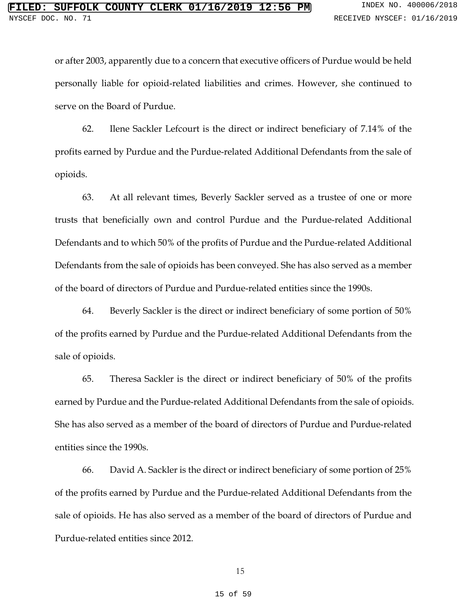or after 2003, apparently due to a concern that executive officers of Purdue would be held personally liable for opioid-related liabilities and crimes. However, she continued to serve on the Board of Purdue.

62. Ilene Sackler Lefcourt is the direct or indirect beneficiary of 7.14% of the profits earned by Purdue and the Purdue-related Additional Defendants from the sale of opioids.

63. At all relevant times, Beverly Sackler served as a trustee of one or more trusts that beneficially own and control Purdue and the Purdue-related Additional Defendants and to which 50% of the profits of Purdue and the Purdue-related Additional Defendants from the sale of opioids has been conveyed. She has also served as a member of the board of directors of Purdue and Purdue-related entities since the 1990s.

64. Beverly Sackler is the direct or indirect beneficiary of some portion of 50% of the profits earned by Purdue and the Purdue-related Additional Defendants from the sale of opioids.

65. Theresa Sackler is the direct or indirect beneficiary of 50% of the profits earned by Purdue and the Purdue-related Additional Defendants from the sale of opioids. She has also served as a member of the board of directors of Purdue and Purdue-related entities since the 1990s.

66. David A. Sackler is the direct or indirect beneficiary of some portion of 25% of the profits earned by Purdue and the Purdue-related Additional Defendants from the sale of opioids. He has also served as a member of the board of directors of Purdue and Purdue-related entities since 2012.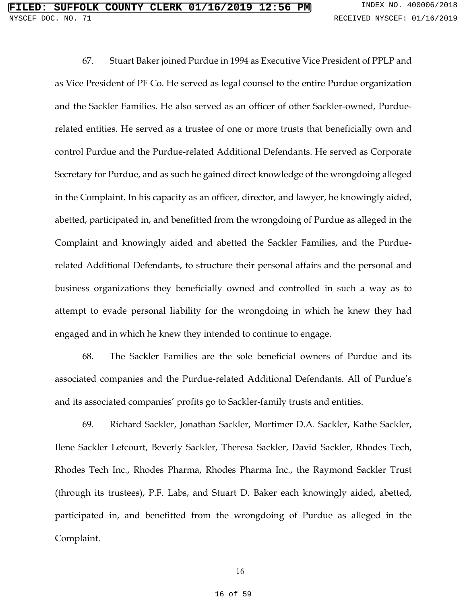67. Stuart Baker joined Purdue in 1994 as Executive Vice President of PPLP and as Vice President of PF Co. He served as legal counsel to the entire Purdue organization and the Sackler Families. He also served as an officer of other Sackler-owned, Purduerelated entities. He served as a trustee of one or more trusts that beneficially own and control Purdue and the Purdue-related Additional Defendants. He served as Corporate Secretary for Purdue, and as such he gained direct knowledge of the wrongdoing alleged in the Complaint. In his capacity as an officer, director, and lawyer, he knowingly aided, abetted, participated in, and benefitted from the wrongdoing of Purdue as alleged in the Complaint and knowingly aided and abetted the Sackler Families, and the Purduerelated Additional Defendants, to structure their personal affairs and the personal and business organizations they beneficially owned and controlled in such a way as to attempt to evade personal liability for the wrongdoing in which he knew they had engaged and in which he knew they intended to continue to engage.

68. The Sackler Families are the sole beneficial owners of Purdue and its associated companies and the Purdue-related Additional Defendants. All of Purdue's and its associated companies' profits go to Sackler-family trusts and entities.

69. Richard Sackler, Jonathan Sackler, Mortimer D.A. Sackler, Kathe Sackler, Ilene Sackler Lefcourt, Beverly Sackler, Theresa Sackler, David Sackler, Rhodes Tech, Rhodes Tech Inc., Rhodes Pharma, Rhodes Pharma Inc., the Raymond Sackler Trust (through its trustees), P.F. Labs, and Stuart D. Baker each knowingly aided, abetted, participated in, and benefitted from the wrongdoing of Purdue as alleged in the Complaint.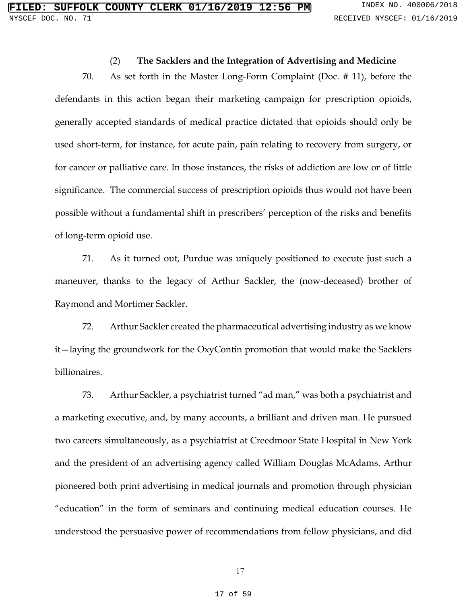### (2) **The Sacklers and the Integration of Advertising and Medicine**

70. As set forth in the Master Long-Form Complaint (Doc. # 11), before the defendants in this action began their marketing campaign for prescription opioids, generally accepted standards of medical practice dictated that opioids should only be used short-term, for instance, for acute pain, pain relating to recovery from surgery, or for cancer or palliative care. In those instances, the risks of addiction are low or of little significance. The commercial success of prescription opioids thus would not have been possible without a fundamental shift in prescribers' perception of the risks and benefits of long-term opioid use.

71. As it turned out, Purdue was uniquely positioned to execute just such a maneuver, thanks to the legacy of Arthur Sackler, the (now-deceased) brother of Raymond and Mortimer Sackler.

72. Arthur Sackler created the pharmaceutical advertising industry as we know it—laying the groundwork for the OxyContin promotion that would make the Sacklers billionaires.

73. Arthur Sackler, a psychiatrist turned "ad man," was both a psychiatrist and a marketing executive, and, by many accounts, a brilliant and driven man. He pursued two careers simultaneously, as a psychiatrist at Creedmoor State Hospital in New York and the president of an advertising agency called William Douglas McAdams. Arthur pioneered both print advertising in medical journals and promotion through physician "education" in the form of seminars and continuing medical education courses. He understood the persuasive power of recommendations from fellow physicians, and did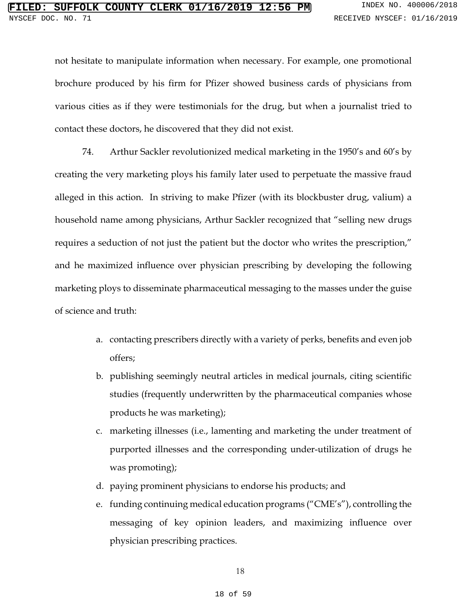not hesitate to manipulate information when necessary. For example, one promotional brochure produced by his firm for Pfizer showed business cards of physicians from various cities as if they were testimonials for the drug, but when a journalist tried to contact these doctors, he discovered that they did not exist.

74. Arthur Sackler revolutionized medical marketing in the 1950's and 60's by creating the very marketing ploys his family later used to perpetuate the massive fraud alleged in this action. In striving to make Pfizer (with its blockbuster drug, valium) a household name among physicians, Arthur Sackler recognized that "selling new drugs requires a seduction of not just the patient but the doctor who writes the prescription," and he maximized influence over physician prescribing by developing the following marketing ploys to disseminate pharmaceutical messaging to the masses under the guise of science and truth:

- a. contacting prescribers directly with a variety of perks, benefits and even job offers;
- b. publishing seemingly neutral articles in medical journals, citing scientific studies (frequently underwritten by the pharmaceutical companies whose products he was marketing);
- c. marketing illnesses (i.e., lamenting and marketing the under treatment of purported illnesses and the corresponding under-utilization of drugs he was promoting);
- d. paying prominent physicians to endorse his products; and
- e. funding continuing medical education programs ("CME's"), controlling the messaging of key opinion leaders, and maximizing influence over physician prescribing practices.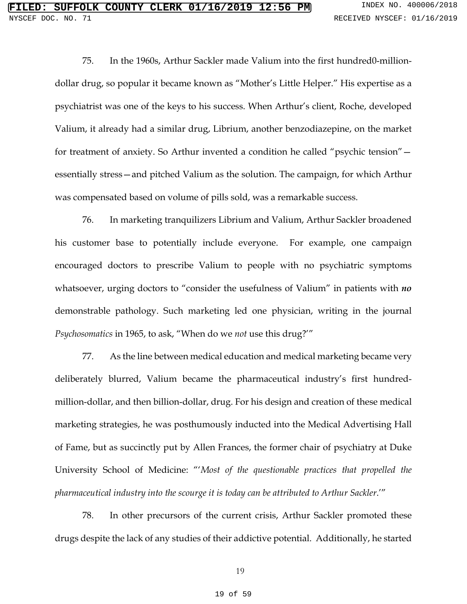75. In the 1960s, Arthur Sackler made Valium into the first hundred0-milliondollar drug, so popular it became known as "Mother's Little Helper." His expertise as a psychiatrist was one of the keys to his success. When Arthur's client, Roche, developed Valium, it already had a similar drug, Librium, another benzodiazepine, on the market for treatment of anxiety. So Arthur invented a condition he called "psychic tension" essentially stress—and pitched Valium as the solution. The campaign, for which Arthur was compensated based on volume of pills sold, was a remarkable success.

76. In marketing tranquilizers Librium and Valium, Arthur Sackler broadened his customer base to potentially include everyone. For example, one campaign encouraged doctors to prescribe Valium to people with no psychiatric symptoms whatsoever, urging doctors to "consider the usefulness of Valium" in patients with *no* demonstrable pathology. Such marketing led one physician, writing in the journal *Psychosomatics* in 1965, to ask, "When do we *not* use this drug?'"

77. As the line between medical education and medical marketing became very deliberately blurred, Valium became the pharmaceutical industry's first hundredmillion-dollar, and then billion-dollar, drug. For his design and creation of these medical marketing strategies, he was posthumously inducted into the Medical Advertising Hall of Fame, but as succinctly put by Allen Frances, the former chair of psychiatry at Duke University School of Medicine: "'*Most of the questionable practices that propelled the pharmaceutical industry into the scourge it is today can be attributed to Arthur Sackler*.'"

78. In other precursors of the current crisis, Arthur Sackler promoted these drugs despite the lack of any studies of their addictive potential. Additionally, he started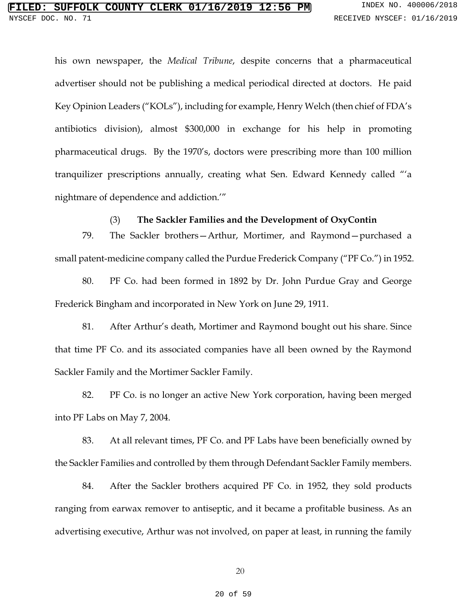his own newspaper, the *Medical Tribune*, despite concerns that a pharmaceutical advertiser should not be publishing a medical periodical directed at doctors. He paid Key Opinion Leaders ("KOLs"), including for example, Henry Welch (then chief of FDA's antibiotics division), almost \$300,000 in exchange for his help in promoting pharmaceutical drugs. By the 1970's, doctors were prescribing more than 100 million tranquilizer prescriptions annually, creating what Sen. Edward Kennedy called "'a nightmare of dependence and addiction.'"

### (3) **The Sackler Families and the Development of OxyContin**

79. The Sackler brothers—Arthur, Mortimer, and Raymond—purchased a small patent-medicine company called the Purdue Frederick Company ("PF Co.") in 1952.

80. PF Co. had been formed in 1892 by Dr. John Purdue Gray and George Frederick Bingham and incorporated in New York on June 29, 1911.

81. After Arthur's death, Mortimer and Raymond bought out his share. Since that time PF Co. and its associated companies have all been owned by the Raymond Sackler Family and the Mortimer Sackler Family.

82. PF Co. is no longer an active New York corporation, having been merged into PF Labs on May 7, 2004.

83. At all relevant times, PF Co. and PF Labs have been beneficially owned by the Sackler Families and controlled by them through Defendant Sackler Family members.

84. After the Sackler brothers acquired PF Co. in 1952, they sold products ranging from earwax remover to antiseptic, and it became a profitable business. As an advertising executive, Arthur was not involved, on paper at least, in running the family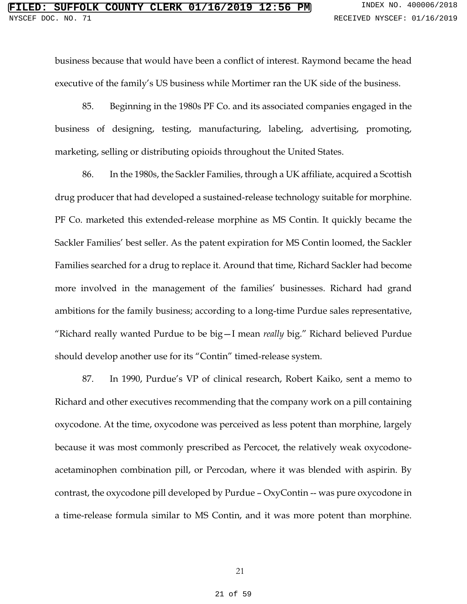business because that would have been a conflict of interest. Raymond became the head executive of the family's US business while Mortimer ran the UK side of the business.

85. Beginning in the 1980s PF Co. and its associated companies engaged in the business of designing, testing, manufacturing, labeling, advertising, promoting, marketing, selling or distributing opioids throughout the United States.

86. In the 1980s, the Sackler Families, through a UK affiliate, acquired a Scottish drug producer that had developed a sustained-release technology suitable for morphine. PF Co. marketed this extended-release morphine as MS Contin. It quickly became the Sackler Families' best seller. As the patent expiration for MS Contin loomed, the Sackler Families searched for a drug to replace it. Around that time, Richard Sackler had become more involved in the management of the families' businesses. Richard had grand ambitions for the family business; according to a long-time Purdue sales representative, "Richard really wanted Purdue to be big—I mean *really* big." Richard believed Purdue should develop another use for its "Contin" timed-release system.

87. In 1990, Purdue's VP of clinical research, Robert Kaiko, sent a memo to Richard and other executives recommending that the company work on a pill containing oxycodone. At the time, oxycodone was perceived as less potent than morphine, largely because it was most commonly prescribed as Percocet, the relatively weak oxycodoneacetaminophen combination pill, or Percodan, where it was blended with aspirin. By contrast, the oxycodone pill developed by Purdue – OxyContin -- was pure oxycodone in a time-release formula similar to MS Contin, and it was more potent than morphine.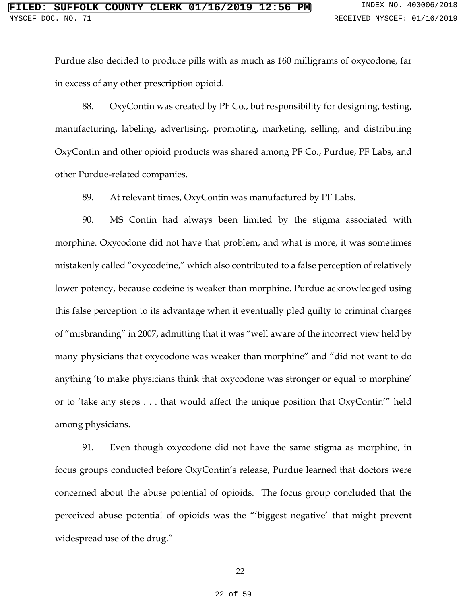Purdue also decided to produce pills with as much as 160 milligrams of oxycodone, far in excess of any other prescription opioid.

88. OxyContin was created by PF Co., but responsibility for designing, testing, manufacturing, labeling, advertising, promoting, marketing, selling, and distributing OxyContin and other opioid products was shared among PF Co., Purdue, PF Labs, and other Purdue-related companies.

89. At relevant times, OxyContin was manufactured by PF Labs.

90. MS Contin had always been limited by the stigma associated with morphine. Oxycodone did not have that problem, and what is more, it was sometimes mistakenly called "oxycodeine," which also contributed to a false perception of relatively lower potency, because codeine is weaker than morphine. Purdue acknowledged using this false perception to its advantage when it eventually pled guilty to criminal charges of "misbranding" in 2007, admitting that it was "well aware of the incorrect view held by many physicians that oxycodone was weaker than morphine" and "did not want to do anything 'to make physicians think that oxycodone was stronger or equal to morphine' or to 'take any steps . . . that would affect the unique position that OxyContin'" held among physicians.

91. Even though oxycodone did not have the same stigma as morphine, in focus groups conducted before OxyContin's release, Purdue learned that doctors were concerned about the abuse potential of opioids. The focus group concluded that the perceived abuse potential of opioids was the "'biggest negative' that might prevent widespread use of the drug."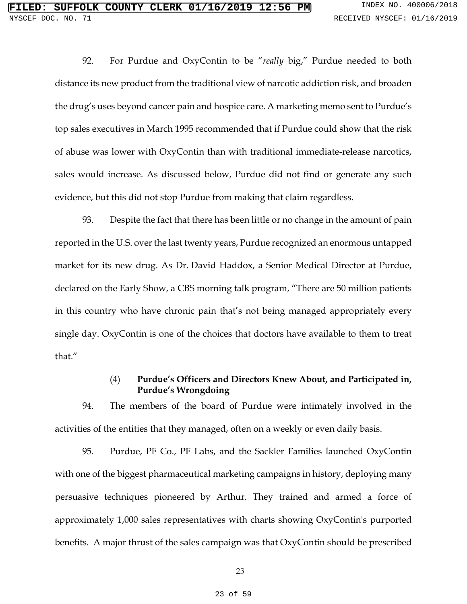92. For Purdue and OxyContin to be "*really* big," Purdue needed to both distance its new product from the traditional view of narcotic addiction risk, and broaden the drug's uses beyond cancer pain and hospice care. A marketing memo sent to Purdue's top sales executives in March 1995 recommended that if Purdue could show that the risk of abuse was lower with OxyContin than with traditional immediate-release narcotics, sales would increase. As discussed below, Purdue did not find or generate any such evidence, but this did not stop Purdue from making that claim regardless.

93. Despite the fact that there has been little or no change in the amount of pain reported in the U.S. over the last twenty years, Purdue recognized an enormous untapped market for its new drug. As Dr. David Haddox, a Senior Medical Director at Purdue, declared on the Early Show, a CBS morning talk program, "There are 50 million patients in this country who have chronic pain that's not being managed appropriately every single day. OxyContin is one of the choices that doctors have available to them to treat that."

## (4) **Purdue's Officers and Directors Knew About, and Participated in, Purdue's Wrongdoing**

94. The members of the board of Purdue were intimately involved in the activities of the entities that they managed, often on a weekly or even daily basis.

95. Purdue, PF Co., PF Labs, and the Sackler Families launched OxyContin with one of the biggest pharmaceutical marketing campaigns in history, deploying many persuasive techniques pioneered by Arthur. They trained and armed a force of approximately 1,000 sales representatives with charts showing OxyContin's purported benefits. A major thrust of the sales campaign was that OxyContin should be prescribed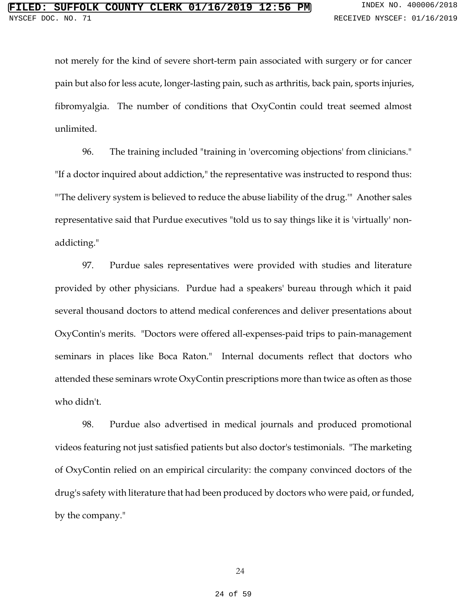not merely for the kind of severe short-term pain associated with surgery or for cancer pain but also for less acute, longer-lasting pain, such as arthritis, back pain, sports injuries, fibromyalgia. The number of conditions that OxyContin could treat seemed almost unlimited.

96. The training included "training in 'overcoming objections' from clinicians." "If a doctor inquired about addiction," the representative was instructed to respond thus: "'The delivery system is believed to reduce the abuse liability of the drug.'" Another sales representative said that Purdue executives "told us to say things like it is 'virtually' nonaddicting."

97. Purdue sales representatives were provided with studies and literature provided by other physicians. Purdue had a speakers' bureau through which it paid several thousand doctors to attend medical conferences and deliver presentations about OxyContin's merits. "Doctors were offered all-expenses-paid trips to pain-management seminars in places like Boca Raton." Internal documents reflect that doctors who attended these seminars wrote OxyContin prescriptions more than twice as often as those who didn't.

98. Purdue also advertised in medical journals and produced promotional videos featuring not just satisfied patients but also doctor's testimonials. "The marketing of OxyContin relied on an empirical circularity: the company convinced doctors of the drug's safety with literature that had been produced by doctors who were paid, or funded, by the company."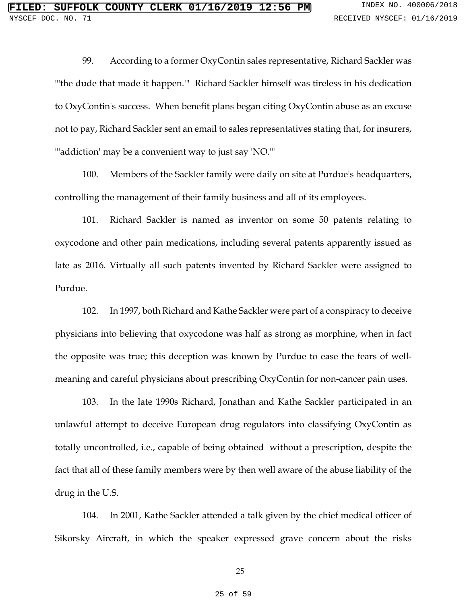99. According to a former OxyContin sales representative, Richard Sackler was "'the dude that made it happen.'" Richard Sackler himself was tireless in his dedication to OxyContin's success. When benefit plans began citing OxyContin abuse as an excuse not to pay, Richard Sackler sent an email to sales representatives stating that, for insurers, "'addiction' may be a convenient way to just say 'NO.'"

100. Members of the Sackler family were daily on site at Purdue's headquarters, controlling the management of their family business and all of its employees.

101. Richard Sackler is named as inventor on some 50 patents relating to oxycodone and other pain medications, including several patents apparently issued as late as 2016. Virtually all such patents invented by Richard Sackler were assigned to Purdue.

102. In 1997, both Richard and Kathe Sackler were part of a conspiracy to deceive physicians into believing that oxycodone was half as strong as morphine, when in fact the opposite was true; this deception was known by Purdue to ease the fears of wellmeaning and careful physicians about prescribing OxyContin for non-cancer pain uses.

103. In the late 1990s Richard, Jonathan and Kathe Sackler participated in an unlawful attempt to deceive European drug regulators into classifying OxyContin as totally uncontrolled, i.e., capable of being obtained without a prescription, despite the fact that all of these family members were by then well aware of the abuse liability of the drug in the U.S.

104. In 2001, Kathe Sackler attended a talk given by the chief medical officer of Sikorsky Aircraft, in which the speaker expressed grave concern about the risks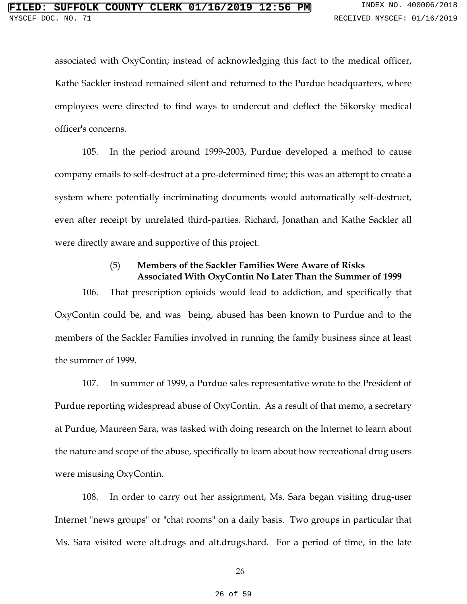associated with OxyContin; instead of acknowledging this fact to the medical officer, Kathe Sackler instead remained silent and returned to the Purdue headquarters, where employees were directed to find ways to undercut and deflect the Sikorsky medical officer's concerns.

105. In the period around 1999-2003, Purdue developed a method to cause company emails to self-destruct at a pre-determined time; this was an attempt to create a system where potentially incriminating documents would automatically self-destruct, even after receipt by unrelated third-parties. Richard, Jonathan and Kathe Sackler all were directly aware and supportive of this project.

# (5) **Members of the Sackler Families Were Aware of Risks Associated With OxyContin No Later Than the Summer of 1999**

106. That prescription opioids would lead to addiction, and specifically that OxyContin could be, and was being, abused has been known to Purdue and to the members of the Sackler Families involved in running the family business since at least the summer of 1999.

107. In summer of 1999, a Purdue sales representative wrote to the President of Purdue reporting widespread abuse of OxyContin. As a result of that memo, a secretary at Purdue, Maureen Sara, was tasked with doing research on the Internet to learn about the nature and scope of the abuse, specifically to learn about how recreational drug users were misusing OxyContin.

108. In order to carry out her assignment, Ms. Sara began visiting drug-user Internet "news groups" or "chat rooms" on a daily basis. Two groups in particular that Ms. Sara visited were alt.drugs and alt.drugs.hard. For a period of time, in the late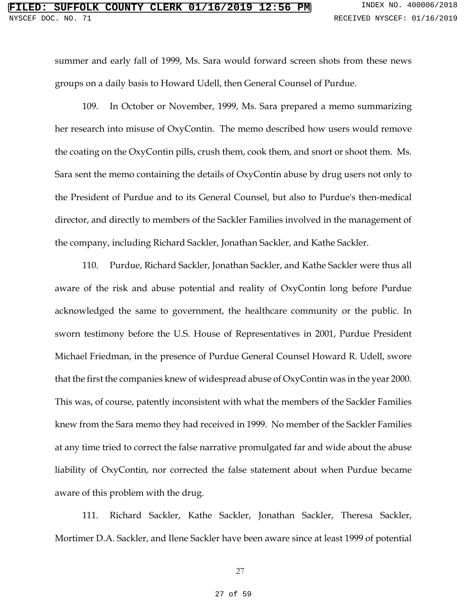summer and early fall of 1999, Ms. Sara would forward screen shots from these news groups on a daily basis to Howard Udell, then General Counsel of Purdue.

109. In October or November, 1999, Ms. Sara prepared a memo summarizing her research into misuse of OxyContin. The memo described how users would remove the coating on the OxyContin pills, crush them, cook them, and snort or shoot them. Ms. Sara sent the memo containing the details of OxyContin abuse by drug users not only to the President of Purdue and to its General Counsel, but also to Purdue's then-medical director, and directly to members of the Sackler Families involved in the management of the company, including Richard Sackler, Jonathan Sackler, and Kathe Sackler.

110. Purdue, Richard Sackler, Jonathan Sackler, and Kathe Sackler were thus all aware of the risk and abuse potential and reality of OxyContin long before Purdue acknowledged the same to government, the healthcare community or the public. In sworn testimony before the U.S. House of Representatives in 2001, Purdue President Michael Friedman, in the presence of Purdue General Counsel Howard R. Udell, swore that the first the companies knew of widespread abuse of OxyContin was in the year 2000. This was, of course, patently inconsistent with what the members of the Sackler Families knew from the Sara memo they had received in 1999. No member of the Sackler Families at any time tried to correct the false narrative promulgated far and wide about the abuse liability of OxyContin, nor corrected the false statement about when Purdue became aware of this problem with the drug.

111. Richard Sackler, Kathe Sackler, Jonathan Sackler, Theresa Sackler, Mortimer D.A. Sackler, and Ilene Sackler have been aware since at least 1999 of potential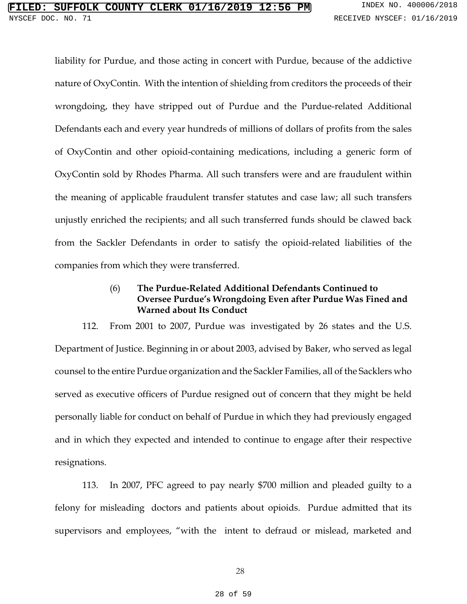liability for Purdue, and those acting in concert with Purdue, because of the addictive nature of OxyContin. With the intention of shielding from creditors the proceeds of their wrongdoing, they have stripped out of Purdue and the Purdue-related Additional Defendants each and every year hundreds of millions of dollars of profits from the sales of OxyContin and other opioid-containing medications, including a generic form of OxyContin sold by Rhodes Pharma. All such transfers were and are fraudulent within the meaning of applicable fraudulent transfer statutes and case law; all such transfers unjustly enriched the recipients; and all such transferred funds should be clawed back from the Sackler Defendants in order to satisfy the opioid-related liabilities of the companies from which they were transferred.

# (6) **The Purdue-Related Additional Defendants Continued to Oversee Purdue's Wrongdoing Even after Purdue Was Fined and Warned about Its Conduct**

112. From 2001 to 2007, Purdue was investigated by 26 states and the U.S. Department of Justice. Beginning in or about 2003, advised by Baker, who served as legal counsel to the entire Purdue organization and the Sackler Families, all of the Sacklers who served as executive officers of Purdue resigned out of concern that they might be held personally liable for conduct on behalf of Purdue in which they had previously engaged and in which they expected and intended to continue to engage after their respective resignations.

113. In 2007, PFC agreed to pay nearly \$700 million and pleaded guilty to a felony for misleading doctors and patients about opioids. Purdue admitted that its supervisors and employees, "with the intent to defraud or mislead, marketed and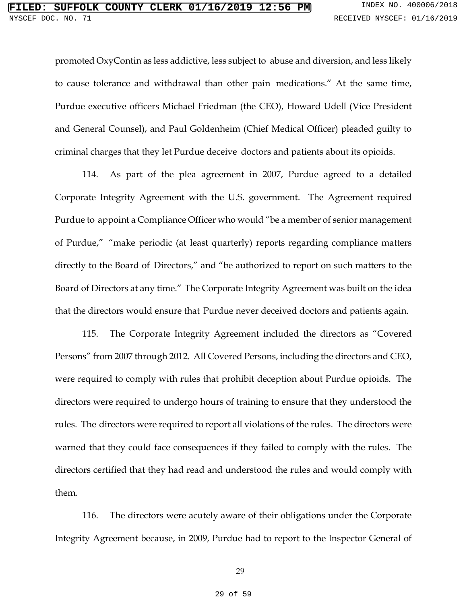promoted OxyContin as less addictive, less subject to abuse and diversion, and less likely to cause tolerance and withdrawal than other pain medications." At the same time, Purdue executive officers Michael Friedman (the CEO), Howard Udell (Vice President and General Counsel), and Paul Goldenheim (Chief Medical Officer) pleaded guilty to criminal charges that they let Purdue deceive doctors and patients about its opioids.

114. As part of the plea agreement in 2007, Purdue agreed to a detailed Corporate Integrity Agreement with the U.S. government. The Agreement required Purdue to appoint a Compliance Officer who would "be a member of senior management of Purdue," "make periodic (at least quarterly) reports regarding compliance matters directly to the Board of Directors," and "be authorized to report on such matters to the Board of Directors at any time." The Corporate Integrity Agreement was built on the idea that the directors would ensure that Purdue never deceived doctors and patients again.

115. The Corporate Integrity Agreement included the directors as "Covered Persons" from 2007 through 2012. All Covered Persons, including the directors and CEO, were required to comply with rules that prohibit deception about Purdue opioids. The directors were required to undergo hours of training to ensure that they understood the rules. The directors were required to report all violations of the rules. The directors were warned that they could face consequences if they failed to comply with the rules. The directors certified that they had read and understood the rules and would comply with them.

116. The directors were acutely aware of their obligations under the Corporate Integrity Agreement because, in 2009, Purdue had to report to the Inspector General of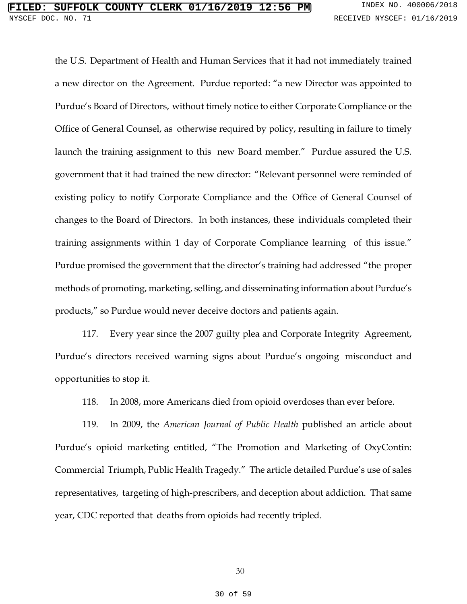the U.S. Department of Health and Human Services that it had not immediately trained a new director on the Agreement. Purdue reported: "a new Director was appointed to Purdue's Board of Directors, without timely notice to either Corporate Compliance or the Office of General Counsel, as otherwise required by policy, resulting in failure to timely launch the training assignment to this new Board member." Purdue assured the U.S. government that it had trained the new director: "Relevant personnel were reminded of existing policy to notify Corporate Compliance and the Office of General Counsel of changes to the Board of Directors. In both instances, these individuals completed their training assignments within 1 day of Corporate Compliance learning of this issue." Purdue promised the government that the director's training had addressed "the proper methods of promoting, marketing, selling, and disseminating information about Purdue's products," so Purdue would never deceive doctors and patients again.

117. Every year since the 2007 guilty plea and Corporate Integrity Agreement, Purdue's directors received warning signs about Purdue's ongoing misconduct and opportunities to stop it.

118. In 2008, more Americans died from opioid overdoses than ever before.

119. In 2009, the *American Journal of Public Health* published an article about Purdue's opioid marketing entitled, "The Promotion and Marketing of OxyContin: Commercial Triumph, Public Health Tragedy." The article detailed Purdue's use of sales representatives, targeting of high-prescribers, and deception about addiction. That same year, CDC reported that deaths from opioids had recently tripled.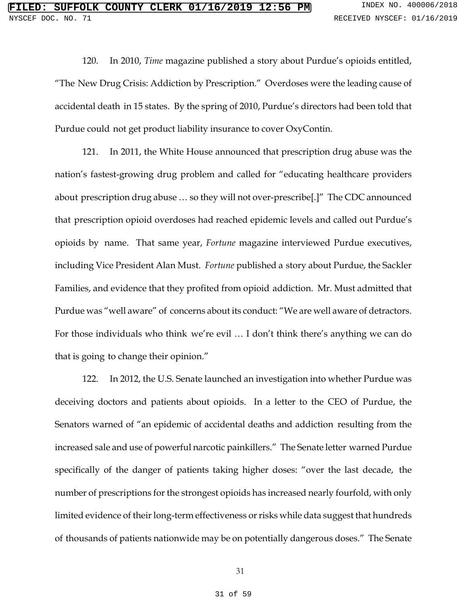120. In 2010, *Time* magazine published a story about Purdue's opioids entitled, "The New Drug Crisis: Addiction by Prescription." Overdoses were the leading cause of accidental death in 15 states. By the spring of 2010, Purdue's directors had been told that Purdue could not get product liability insurance to cover OxyContin.

121. In 2011, the White House announced that prescription drug abuse was the nation's fastest-growing drug problem and called for "educating healthcare providers about prescription drug abuse … so they will not over-prescribe[.]" The CDC announced that prescription opioid overdoses had reached epidemic levels and called out Purdue's opioids by name. That same year, *Fortune* magazine interviewed Purdue executives, including Vice President Alan Must. *Fortune* published a story about Purdue, the Sackler Families, and evidence that they profited from opioid addiction. Mr. Must admitted that Purdue was "well aware" of concerns about its conduct: "We are well aware of detractors. For those individuals who think we're evil … I don't think there's anything we can do that is going to change their opinion."

122. In 2012, the U.S. Senate launched an investigation into whether Purdue was deceiving doctors and patients about opioids. In a letter to the CEO of Purdue, the Senators warned of "an epidemic of accidental deaths and addiction resulting from the increased sale and use of powerful narcotic painkillers." The Senate letter warned Purdue specifically of the danger of patients taking higher doses: "over the last decade, the number of prescriptions for the strongest opioids has increased nearly fourfold, with only limited evidence of their long-term effectiveness or risks while data suggest that hundreds of thousands of patients nationwide may be on potentially dangerous doses." The Senate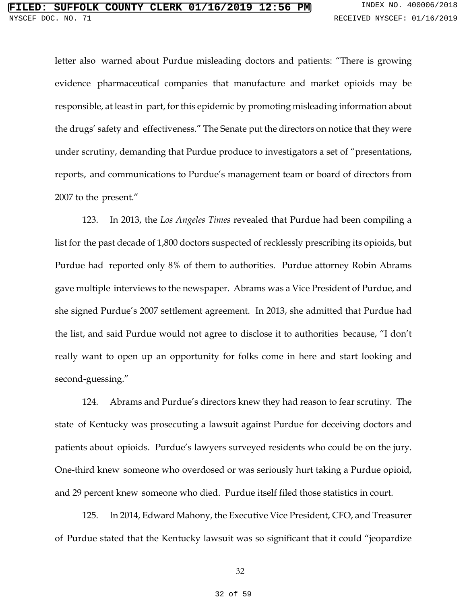letter also warned about Purdue misleading doctors and patients: "There is growing evidence pharmaceutical companies that manufacture and market opioids may be responsible, at least in part, for this epidemic by promoting misleading information about the drugs' safety and effectiveness." The Senate put the directors on notice that they were under scrutiny, demanding that Purdue produce to investigators a set of "presentations, reports, and communications to Purdue's management team or board of directors from 2007 to the present."

123. In 2013, the *Los Angeles Times* revealed that Purdue had been compiling a list for the past decade of 1,800 doctors suspected of recklessly prescribing its opioids, but Purdue had reported only 8% of them to authorities. Purdue attorney Robin Abrams gave multiple interviews to the newspaper. Abrams was a Vice President of Purdue, and she signed Purdue's 2007 settlement agreement. In 2013, she admitted that Purdue had the list, and said Purdue would not agree to disclose it to authorities because, "I don't really want to open up an opportunity for folks come in here and start looking and second-guessing."

124. Abrams and Purdue's directors knew they had reason to fear scrutiny. The state of Kentucky was prosecuting a lawsuit against Purdue for deceiving doctors and patients about opioids. Purdue's lawyers surveyed residents who could be on the jury. One-third knew someone who overdosed or was seriously hurt taking a Purdue opioid, and 29 percent knew someone who died. Purdue itself filed those statistics in court.

125. In 2014, Edward Mahony, the Executive Vice President, CFO, and Treasurer of Purdue stated that the Kentucky lawsuit was so significant that it could "jeopardize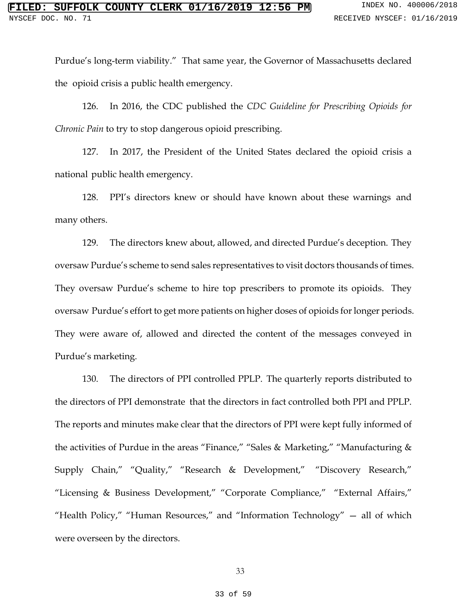Purdue's long-term viability." That same year, the Governor of Massachusetts declared the opioid crisis a public health emergency.

126. In 2016, the CDC published the *CDC Guideline for Prescribing Opioids for Chronic Pain* to try to stop dangerous opioid prescribing.

127. In 2017, the President of the United States declared the opioid crisis a national public health emergency.

128. PPI's directors knew or should have known about these warnings and many others.

129. The directors knew about, allowed, and directed Purdue's deception. They oversaw Purdue's scheme to send sales representatives to visit doctors thousands of times. They oversaw Purdue's scheme to hire top prescribers to promote its opioids. They oversaw Purdue's effort to get more patients on higher doses of opioids for longer periods. They were aware of, allowed and directed the content of the messages conveyed in Purdue's marketing.

130. The directors of PPI controlled PPLP. The quarterly reports distributed to the directors of PPI demonstrate that the directors in fact controlled both PPI and PPLP. The reports and minutes make clear that the directors of PPI were kept fully informed of the activities of Purdue in the areas "Finance," "Sales & Marketing," "Manufacturing & Supply Chain," "Quality," "Research & Development," "Discovery Research," "Licensing & Business Development," "Corporate Compliance," "External Affairs," "Health Policy," "Human Resources," and "Information Technology" — all of which were overseen by the directors.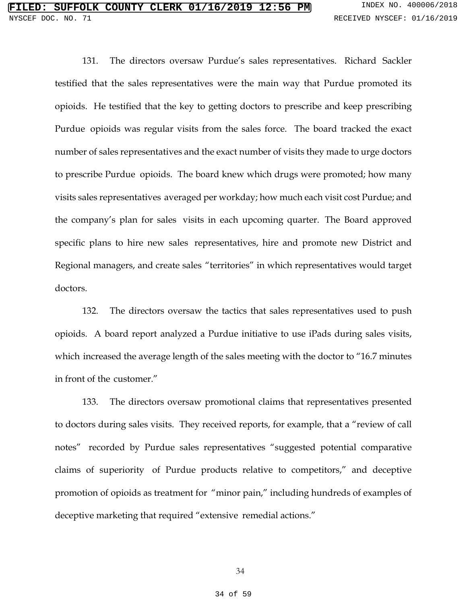131. The directors oversaw Purdue's sales representatives. Richard Sackler testified that the sales representatives were the main way that Purdue promoted its opioids. He testified that the key to getting doctors to prescribe and keep prescribing Purdue opioids was regular visits from the sales force. The board tracked the exact number of sales representatives and the exact number of visits they made to urge doctors to prescribe Purdue opioids. The board knew which drugs were promoted; how many visits sales representatives averaged per workday; how much each visit cost Purdue; and the company's plan for sales visits in each upcoming quarter. The Board approved specific plans to hire new sales representatives, hire and promote new District and Regional managers, and create sales "territories" in which representatives would target doctors.

132. The directors oversaw the tactics that sales representatives used to push opioids. A board report analyzed a Purdue initiative to use iPads during sales visits, which increased the average length of the sales meeting with the doctor to "16.7 minutes in front of the customer."

133. The directors oversaw promotional claims that representatives presented to doctors during sales visits. They received reports, for example, that a "review of call notes" recorded by Purdue sales representatives "suggested potential comparative claims of superiority of Purdue products relative to competitors," and deceptive promotion of opioids as treatment for "minor pain," including hundreds of examples of deceptive marketing that required "extensive remedial actions."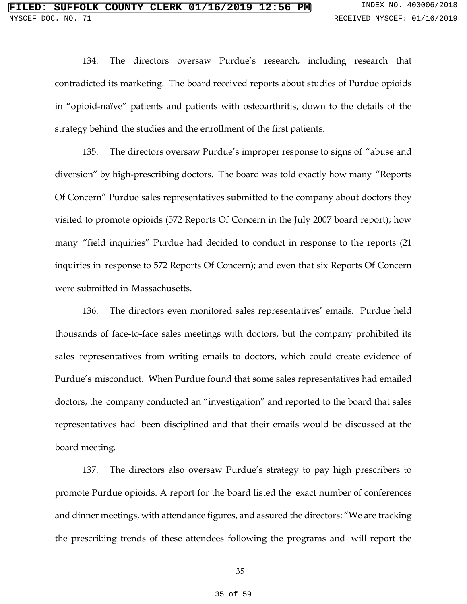134. The directors oversaw Purdue's research, including research that contradicted its marketing. The board received reports about studies of Purdue opioids in "opioid-naïve" patients and patients with osteoarthritis, down to the details of the strategy behind the studies and the enrollment of the first patients.

135. The directors oversaw Purdue's improper response to signs of "abuse and diversion" by high-prescribing doctors. The board was told exactly how many "Reports Of Concern" Purdue sales representatives submitted to the company about doctors they visited to promote opioids (572 Reports Of Concern in the July 2007 board report); how many "field inquiries" Purdue had decided to conduct in response to the reports (21 inquiries in response to 572 Reports Of Concern); and even that six Reports Of Concern were submitted in Massachusetts.

136. The directors even monitored sales representatives' emails. Purdue held thousands of face-to-face sales meetings with doctors, but the company prohibited its sales representatives from writing emails to doctors, which could create evidence of Purdue's misconduct. When Purdue found that some sales representatives had emailed doctors, the company conducted an "investigation" and reported to the board that sales representatives had been disciplined and that their emails would be discussed at the board meeting.

137. The directors also oversaw Purdue's strategy to pay high prescribers to promote Purdue opioids. A report for the board listed the exact number of conferences and dinner meetings, with attendance figures, and assured the directors: "We are tracking the prescribing trends of these attendees following the programs and will report the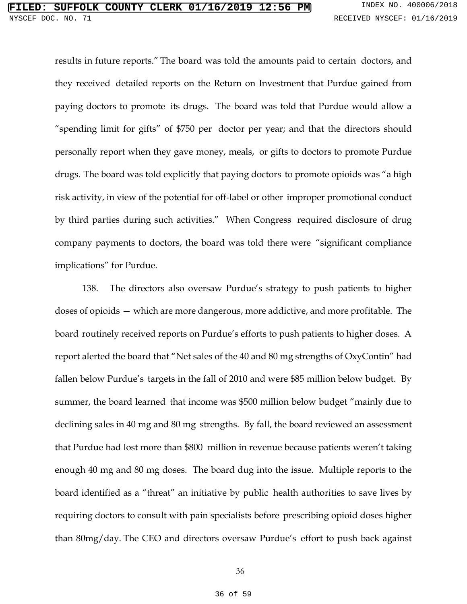results in future reports." The board was told the amounts paid to certain doctors, and they received detailed reports on the Return on Investment that Purdue gained from paying doctors to promote its drugs. The board was told that Purdue would allow a "spending limit for gifts" of \$750 per doctor per year; and that the directors should personally report when they gave money, meals, or gifts to doctors to promote Purdue drugs. The board was told explicitly that paying doctors to promote opioids was "a high risk activity, in view of the potential for off-label or other improper promotional conduct by third parties during such activities." When Congress required disclosure of drug company payments to doctors, the board was told there were "significant compliance implications" for Purdue.

138. The directors also oversaw Purdue's strategy to push patients to higher doses of opioids — which are more dangerous, more addictive, and more profitable. The board routinely received reports on Purdue's efforts to push patients to higher doses. A report alerted the board that "Net sales of the 40 and 80 mg strengths of OxyContin" had fallen below Purdue's targets in the fall of 2010 and were \$85 million below budget. By summer, the board learned that income was \$500 million below budget "mainly due to declining sales in 40 mg and 80 mg strengths. By fall, the board reviewed an assessment that Purdue had lost more than \$800 million in revenue because patients weren't taking enough 40 mg and 80 mg doses. The board dug into the issue. Multiple reports to the board identified as a "threat" an initiative by public health authorities to save lives by requiring doctors to consult with pain specialists before prescribing opioid doses higher than 80mg/day. The CEO and directors oversaw Purdue's effort to push back against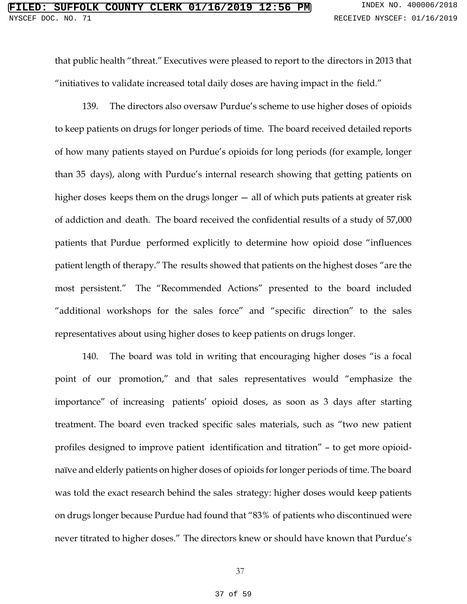that public health "threat." Executives were pleased to report to the directors in 2013 that "initiatives to validate increased total daily doses are having impact in the field."

139. The directors also oversaw Purdue's scheme to use higher doses of opioids to keep patients on drugs for longer periods of time. The board received detailed reports of how many patients stayed on Purdue's opioids for long periods (for example, longer than 35 days), along with Purdue's internal research showing that getting patients on higher doses keeps them on the drugs longer — all of which puts patients at greater risk of addiction and death. The board received the confidential results of a study of 57,000 patients that Purdue performed explicitly to determine how opioid dose "influences patient length of therapy."The results showed that patients on the highest doses "are the most persistent." The "Recommended Actions" presented to the board included "additional workshops for the sales force" and "specific direction" to the sales representatives about using higher doses to keep patients on drugs longer.

140. The board was told in writing that encouraging higher doses "is a focal point of our promotion," and that sales representatives would "emphasize the importance" of increasing patients' opioid doses, as soon as 3 days after starting treatment. The board even tracked specific sales materials, such as "two new patient profiles designed to improve patient identification and titration" – to get more opioidnaïve and elderly patients on higher doses of opioids for longer periods of time.The board was told the exact research behind the sales strategy: higher doses would keep patients on drugs longer because Purdue had found that "83% of patients who discontinued were never titrated to higher doses." The directors knew or should have known that Purdue's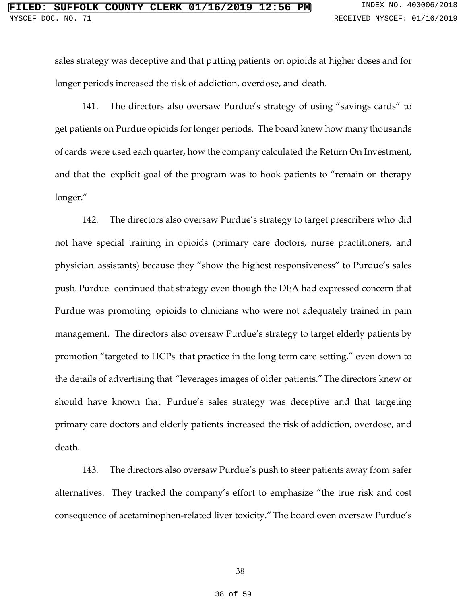sales strategy was deceptive and that putting patients on opioids at higher doses and for longer periods increased the risk of addiction, overdose, and death.

141. The directors also oversaw Purdue's strategy of using "savings cards" to get patients on Purdue opioids for longer periods. The board knew how many thousands of cards were used each quarter, how the company calculated the Return On Investment, and that the explicit goal of the program was to hook patients to "remain on therapy longer."

142. The directors also oversaw Purdue's strategy to target prescribers who did not have special training in opioids (primary care doctors, nurse practitioners, and physician assistants) because they "show the highest responsiveness" to Purdue's sales push. Purdue continued that strategy even though the DEA had expressed concern that Purdue was promoting opioids to clinicians who were not adequately trained in pain management. The directors also oversaw Purdue's strategy to target elderly patients by promotion "targeted to HCPs that practice in the long term care setting," even down to the details of advertising that "leverages images of older patients."The directors knew or should have known that Purdue's sales strategy was deceptive and that targeting primary care doctors and elderly patients increased the risk of addiction, overdose, and death.

143. The directors also oversaw Purdue's push to steer patients away from safer alternatives. They tracked the company's effort to emphasize "the true risk and cost consequence of acetaminophen-related liver toxicity." The board even oversaw Purdue's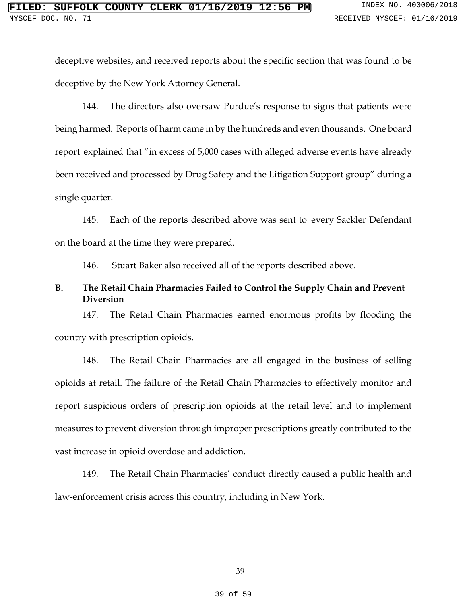deceptive websites, and received reports about the specific section that was found to be deceptive by the New York Attorney General.

144. The directors also oversaw Purdue's response to signs that patients were being harmed. Reports of harm came in by the hundreds and even thousands. One board report explained that "in excess of 5,000 cases with alleged adverse events have already been received and processed by Drug Safety and the Litigation Support group" during a single quarter.

145. Each of the reports described above was sent to every Sackler Defendant on the board at the time they were prepared.

146. Stuart Baker also received all of the reports described above.

## **B. The Retail Chain Pharmacies Failed to Control the Supply Chain and Prevent Diversion**

147. The Retail Chain Pharmacies earned enormous profits by flooding the country with prescription opioids.

148. The Retail Chain Pharmacies are all engaged in the business of selling opioids at retail. The failure of the Retail Chain Pharmacies to effectively monitor and report suspicious orders of prescription opioids at the retail level and to implement measures to prevent diversion through improper prescriptions greatly contributed to the vast increase in opioid overdose and addiction.

149. The Retail Chain Pharmacies' conduct directly caused a public health and law-enforcement crisis across this country, including in New York.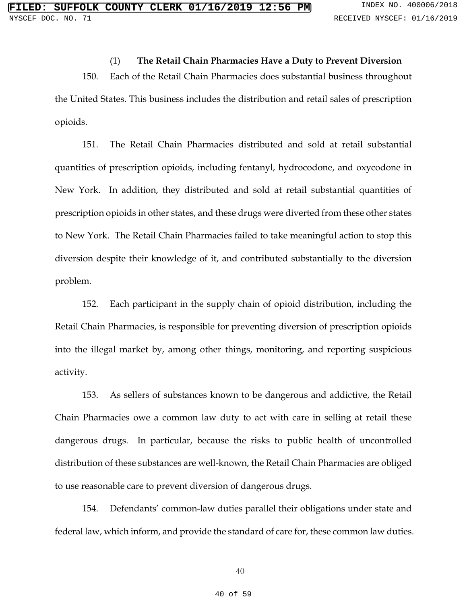#### (1) **The Retail Chain Pharmacies Have a Duty to Prevent Diversion**

150. Each of the Retail Chain Pharmacies does substantial business throughout the United States. This business includes the distribution and retail sales of prescription opioids.

151. The Retail Chain Pharmacies distributed and sold at retail substantial quantities of prescription opioids, including fentanyl, hydrocodone, and oxycodone in New York. In addition, they distributed and sold at retail substantial quantities of prescription opioids in other states, and these drugs were diverted from these other states to New York. The Retail Chain Pharmacies failed to take meaningful action to stop this diversion despite their knowledge of it, and contributed substantially to the diversion problem.

152. Each participant in the supply chain of opioid distribution, including the Retail Chain Pharmacies, is responsible for preventing diversion of prescription opioids into the illegal market by, among other things, monitoring, and reporting suspicious activity.

153. As sellers of substances known to be dangerous and addictive, the Retail Chain Pharmacies owe a common law duty to act with care in selling at retail these dangerous drugs. In particular, because the risks to public health of uncontrolled distribution of these substances are well-known, the Retail Chain Pharmacies are obliged to use reasonable care to prevent diversion of dangerous drugs.

154. Defendants' common-law duties parallel their obligations under state and federal law, which inform, and provide the standard of care for, these common law duties.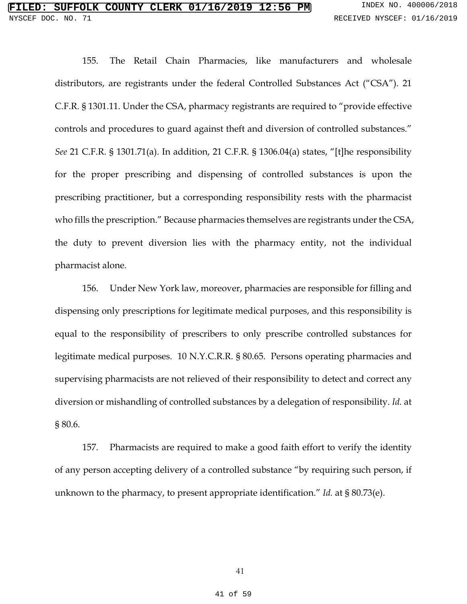# **SUFFOLK COUNTY CLERK 01/16/2019 12:56 PM** INDEX NO. 400006/2018 NYSCEF DOC. NO. 71 **RECEIVED NYSCEF: 01/16/2019**

155. The Retail Chain Pharmacies, like manufacturers and wholesale distributors, are registrants under the federal Controlled Substances Act ("CSA"). 21 C.F.R. § 1301.11. Under the CSA, pharmacy registrants are required to "provide effective controls and procedures to guard against theft and diversion of controlled substances." *See* 21 C.F.R. § 1301.71(a). In addition, 21 C.F.R. § 1306.04(a) states, "[t]he responsibility for the proper prescribing and dispensing of controlled substances is upon the prescribing practitioner, but a corresponding responsibility rests with the pharmacist who fills the prescription." Because pharmacies themselves are registrants under the CSA, the duty to prevent diversion lies with the pharmacy entity, not the individual pharmacist alone.

156. Under New York law, moreover, pharmacies are responsible for filling and dispensing only prescriptions for legitimate medical purposes, and this responsibility is equal to the responsibility of prescribers to only prescribe controlled substances for legitimate medical purposes. 10 N.Y.C.R.R. § 80.65. Persons operating pharmacies and supervising pharmacists are not relieved of their responsibility to detect and correct any diversion or mishandling of controlled substances by a delegation of responsibility. *Id.* at § 80.6.

157. Pharmacists are required to make a good faith effort to verify the identity of any person accepting delivery of a controlled substance "by requiring such person, if unknown to the pharmacy, to present appropriate identification." *Id.* at § 80.73(e).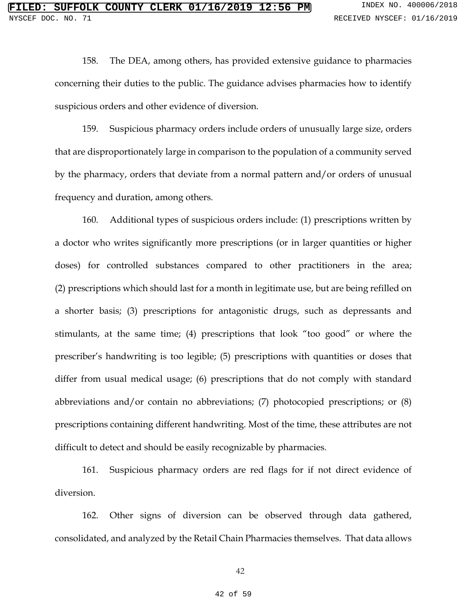158. The DEA, among others, has provided extensive guidance to pharmacies concerning their duties to the public. The guidance advises pharmacies how to identify suspicious orders and other evidence of diversion.

159. Suspicious pharmacy orders include orders of unusually large size, orders that are disproportionately large in comparison to the population of a community served by the pharmacy, orders that deviate from a normal pattern and/or orders of unusual frequency and duration, among others.

160. Additional types of suspicious orders include: (1) prescriptions written by a doctor who writes significantly more prescriptions (or in larger quantities or higher doses) for controlled substances compared to other practitioners in the area; (2) prescriptions which should last for a month in legitimate use, but are being refilled on a shorter basis; (3) prescriptions for antagonistic drugs, such as depressants and stimulants, at the same time; (4) prescriptions that look "too good" or where the prescriber's handwriting is too legible; (5) prescriptions with quantities or doses that differ from usual medical usage; (6) prescriptions that do not comply with standard abbreviations and/or contain no abbreviations; (7) photocopied prescriptions; or (8) prescriptions containing different handwriting. Most of the time, these attributes are not difficult to detect and should be easily recognizable by pharmacies.

161. Suspicious pharmacy orders are red flags for if not direct evidence of diversion.

162. Other signs of diversion can be observed through data gathered, consolidated, and analyzed by the Retail Chain Pharmacies themselves. That data allows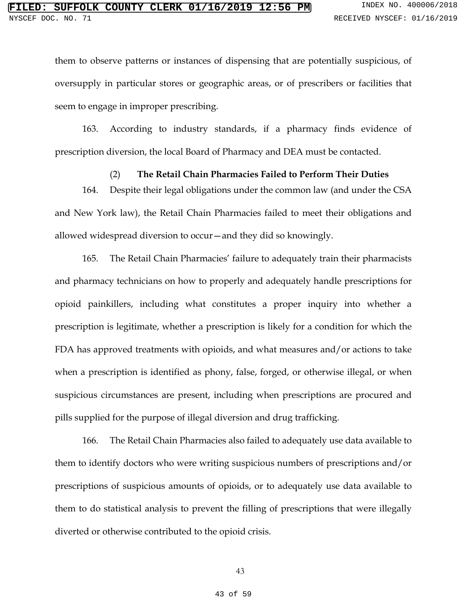them to observe patterns or instances of dispensing that are potentially suspicious, of oversupply in particular stores or geographic areas, or of prescribers or facilities that seem to engage in improper prescribing.

163. According to industry standards, if a pharmacy finds evidence of prescription diversion, the local Board of Pharmacy and DEA must be contacted.

### (2) **The Retail Chain Pharmacies Failed to Perform Their Duties**

164. Despite their legal obligations under the common law (and under the CSA and New York law), the Retail Chain Pharmacies failed to meet their obligations and allowed widespread diversion to occur—and they did so knowingly.

165. The Retail Chain Pharmacies' failure to adequately train their pharmacists and pharmacy technicians on how to properly and adequately handle prescriptions for opioid painkillers, including what constitutes a proper inquiry into whether a prescription is legitimate, whether a prescription is likely for a condition for which the FDA has approved treatments with opioids, and what measures and/or actions to take when a prescription is identified as phony, false, forged, or otherwise illegal, or when suspicious circumstances are present, including when prescriptions are procured and pills supplied for the purpose of illegal diversion and drug trafficking.

166. The Retail Chain Pharmacies also failed to adequately use data available to them to identify doctors who were writing suspicious numbers of prescriptions and/or prescriptions of suspicious amounts of opioids, or to adequately use data available to them to do statistical analysis to prevent the filling of prescriptions that were illegally diverted or otherwise contributed to the opioid crisis.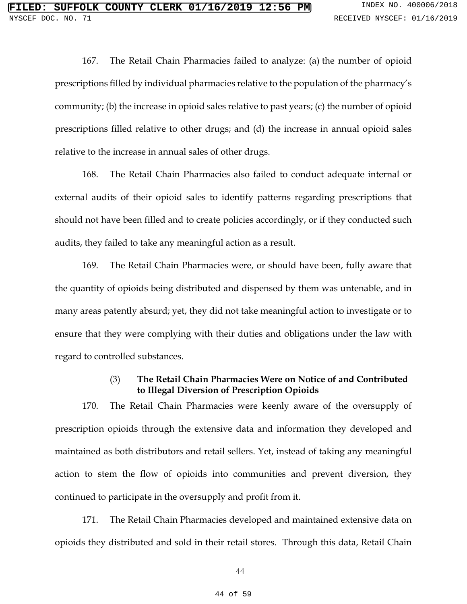167. The Retail Chain Pharmacies failed to analyze: (a) the number of opioid prescriptions filled by individual pharmacies relative to the population of the pharmacy's community; (b) the increase in opioid sales relative to past years; (c) the number of opioid prescriptions filled relative to other drugs; and (d) the increase in annual opioid sales relative to the increase in annual sales of other drugs.

168. The Retail Chain Pharmacies also failed to conduct adequate internal or external audits of their opioid sales to identify patterns regarding prescriptions that should not have been filled and to create policies accordingly, or if they conducted such audits, they failed to take any meaningful action as a result.

169. The Retail Chain Pharmacies were, or should have been, fully aware that the quantity of opioids being distributed and dispensed by them was untenable, and in many areas patently absurd; yet, they did not take meaningful action to investigate or to ensure that they were complying with their duties and obligations under the law with regard to controlled substances.

# (3) **The Retail Chain Pharmacies Were on Notice of and Contributed to Illegal Diversion of Prescription Opioids**

170. The Retail Chain Pharmacies were keenly aware of the oversupply of prescription opioids through the extensive data and information they developed and maintained as both distributors and retail sellers. Yet, instead of taking any meaningful action to stem the flow of opioids into communities and prevent diversion, they continued to participate in the oversupply and profit from it.

171. The Retail Chain Pharmacies developed and maintained extensive data on opioids they distributed and sold in their retail stores. Through this data, Retail Chain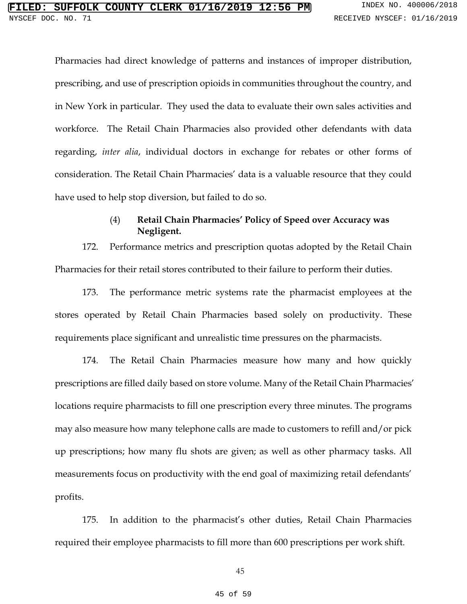Pharmacies had direct knowledge of patterns and instances of improper distribution, prescribing, and use of prescription opioids in communities throughout the country, and in New York in particular. They used the data to evaluate their own sales activities and workforce. The Retail Chain Pharmacies also provided other defendants with data regarding, *inter alia*, individual doctors in exchange for rebates or other forms of consideration. The Retail Chain Pharmacies' data is a valuable resource that they could have used to help stop diversion, but failed to do so.

## (4) **Retail Chain Pharmacies' Policy of Speed over Accuracy was Negligent.**

172. Performance metrics and prescription quotas adopted by the Retail Chain Pharmacies for their retail stores contributed to their failure to perform their duties.

173. The performance metric systems rate the pharmacist employees at the stores operated by Retail Chain Pharmacies based solely on productivity. These requirements place significant and unrealistic time pressures on the pharmacists.

174. The Retail Chain Pharmacies measure how many and how quickly prescriptions are filled daily based on store volume. Many of the Retail Chain Pharmacies' locations require pharmacists to fill one prescription every three minutes. The programs may also measure how many telephone calls are made to customers to refill and/or pick up prescriptions; how many flu shots are given; as well as other pharmacy tasks. All measurements focus on productivity with the end goal of maximizing retail defendants' profits.

175. In addition to the pharmacist's other duties, Retail Chain Pharmacies required their employee pharmacists to fill more than 600 prescriptions per work shift.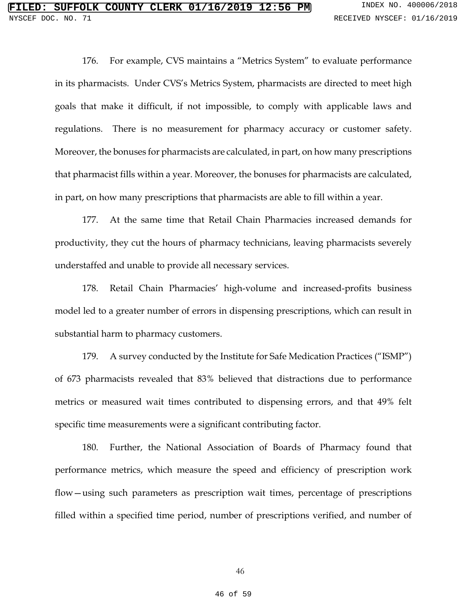176. For example, CVS maintains a "Metrics System" to evaluate performance in its pharmacists. Under CVS's Metrics System, pharmacists are directed to meet high goals that make it difficult, if not impossible, to comply with applicable laws and regulations. There is no measurement for pharmacy accuracy or customer safety. Moreover, the bonuses for pharmacists are calculated, in part, on how many prescriptions that pharmacist fills within a year. Moreover, the bonuses for pharmacists are calculated, in part, on how many prescriptions that pharmacists are able to fill within a year.

177. At the same time that Retail Chain Pharmacies increased demands for productivity, they cut the hours of pharmacy technicians, leaving pharmacists severely understaffed and unable to provide all necessary services.

178. Retail Chain Pharmacies' high-volume and increased-profits business model led to a greater number of errors in dispensing prescriptions, which can result in substantial harm to pharmacy customers.

179. A survey conducted by the Institute for Safe Medication Practices ("ISMP") of 673 pharmacists revealed that 83% believed that distractions due to performance metrics or measured wait times contributed to dispensing errors, and that 49% felt specific time measurements were a significant contributing factor.

180. Further, the National Association of Boards of Pharmacy found that performance metrics, which measure the speed and efficiency of prescription work flow—using such parameters as prescription wait times, percentage of prescriptions filled within a specified time period, number of prescriptions verified, and number of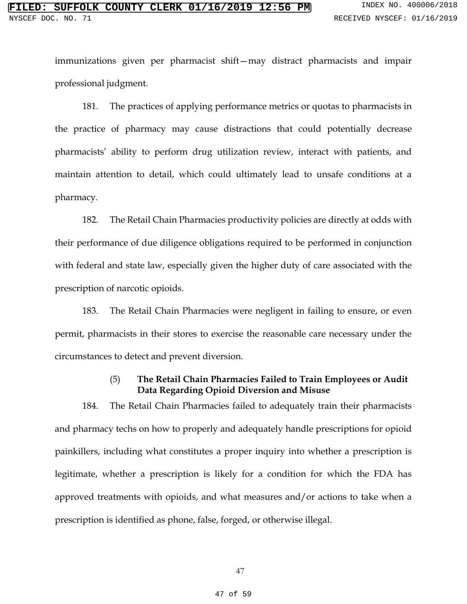immunizations given per pharmacist shift—may distract pharmacists and impair professional judgment.

181. The practices of applying performance metrics or quotas to pharmacists in the practice of pharmacy may cause distractions that could potentially decrease pharmacists' ability to perform drug utilization review, interact with patients, and maintain attention to detail, which could ultimately lead to unsafe conditions at a pharmacy.

182. The Retail Chain Pharmacies productivity policies are directly at odds with their performance of due diligence obligations required to be performed in conjunction with federal and state law, especially given the higher duty of care associated with the prescription of narcotic opioids.

183. The Retail Chain Pharmacies were negligent in failing to ensure, or even permit, pharmacists in their stores to exercise the reasonable care necessary under the circumstances to detect and prevent diversion.

# (5) **The Retail Chain Pharmacies Failed to Train Employees or Audit Data Regarding Opioid Diversion and Misuse**

184. The Retail Chain Pharmacies failed to adequately train their pharmacists and pharmacy techs on how to properly and adequately handle prescriptions for opioid painkillers, including what constitutes a proper inquiry into whether a prescription is legitimate, whether a prescription is likely for a condition for which the FDA has approved treatments with opioids, and what measures and/or actions to take when a prescription is identified as phone, false, forged, or otherwise illegal.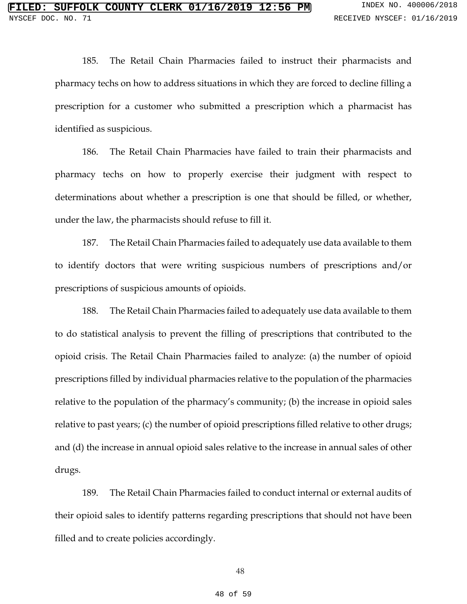185. The Retail Chain Pharmacies failed to instruct their pharmacists and pharmacy techs on how to address situations in which they are forced to decline filling a prescription for a customer who submitted a prescription which a pharmacist has identified as suspicious.

186. The Retail Chain Pharmacies have failed to train their pharmacists and pharmacy techs on how to properly exercise their judgment with respect to determinations about whether a prescription is one that should be filled, or whether, under the law, the pharmacists should refuse to fill it.

187. The Retail Chain Pharmacies failed to adequately use data available to them to identify doctors that were writing suspicious numbers of prescriptions and/or prescriptions of suspicious amounts of opioids.

188. The Retail Chain Pharmacies failed to adequately use data available to them to do statistical analysis to prevent the filling of prescriptions that contributed to the opioid crisis. The Retail Chain Pharmacies failed to analyze: (a) the number of opioid prescriptions filled by individual pharmacies relative to the population of the pharmacies relative to the population of the pharmacy's community; (b) the increase in opioid sales relative to past years; (c) the number of opioid prescriptions filled relative to other drugs; and (d) the increase in annual opioid sales relative to the increase in annual sales of other drugs.

189. The Retail Chain Pharmacies failed to conduct internal or external audits of their opioid sales to identify patterns regarding prescriptions that should not have been filled and to create policies accordingly.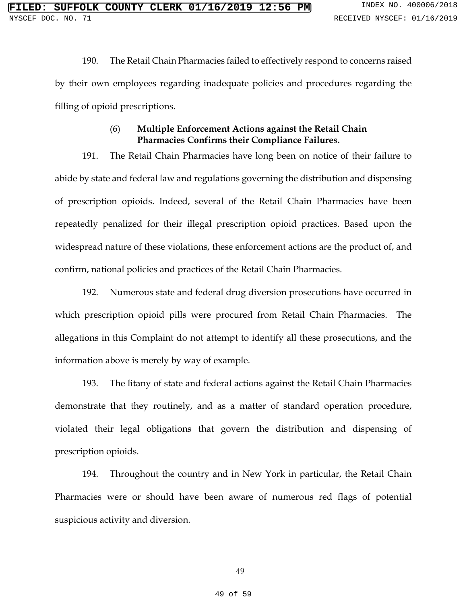190. The Retail Chain Pharmacies failed to effectively respond to concerns raised by their own employees regarding inadequate policies and procedures regarding the filling of opioid prescriptions.

# (6) **Multiple Enforcement Actions against the Retail Chain Pharmacies Confirms their Compliance Failures.**

191. The Retail Chain Pharmacies have long been on notice of their failure to abide by state and federal law and regulations governing the distribution and dispensing of prescription opioids. Indeed, several of the Retail Chain Pharmacies have been repeatedly penalized for their illegal prescription opioid practices. Based upon the widespread nature of these violations, these enforcement actions are the product of, and confirm, national policies and practices of the Retail Chain Pharmacies.

192. Numerous state and federal drug diversion prosecutions have occurred in which prescription opioid pills were procured from Retail Chain Pharmacies. The allegations in this Complaint do not attempt to identify all these prosecutions, and the information above is merely by way of example.

193. The litany of state and federal actions against the Retail Chain Pharmacies demonstrate that they routinely, and as a matter of standard operation procedure, violated their legal obligations that govern the distribution and dispensing of prescription opioids.

194. Throughout the country and in New York in particular, the Retail Chain Pharmacies were or should have been aware of numerous red flags of potential suspicious activity and diversion.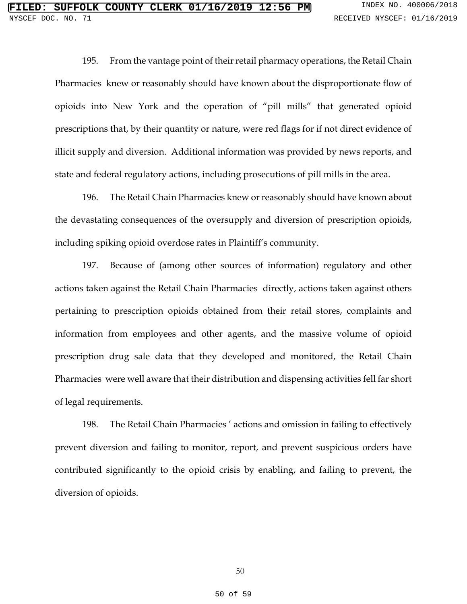195. From the vantage point of their retail pharmacy operations, the Retail Chain Pharmacies knew or reasonably should have known about the disproportionate flow of opioids into New York and the operation of "pill mills" that generated opioid prescriptions that, by their quantity or nature, were red flags for if not direct evidence of illicit supply and diversion. Additional information was provided by news reports, and state and federal regulatory actions, including prosecutions of pill mills in the area.

196. The Retail Chain Pharmacies knew or reasonably should have known about the devastating consequences of the oversupply and diversion of prescription opioids, including spiking opioid overdose rates in Plaintiff's community.

197. Because of (among other sources of information) regulatory and other actions taken against the Retail Chain Pharmacies directly, actions taken against others pertaining to prescription opioids obtained from their retail stores, complaints and information from employees and other agents, and the massive volume of opioid prescription drug sale data that they developed and monitored, the Retail Chain Pharmacies were well aware that their distribution and dispensing activities fell far short of legal requirements.

198. The Retail Chain Pharmacies ' actions and omission in failing to effectively prevent diversion and failing to monitor, report, and prevent suspicious orders have contributed significantly to the opioid crisis by enabling, and failing to prevent, the diversion of opioids.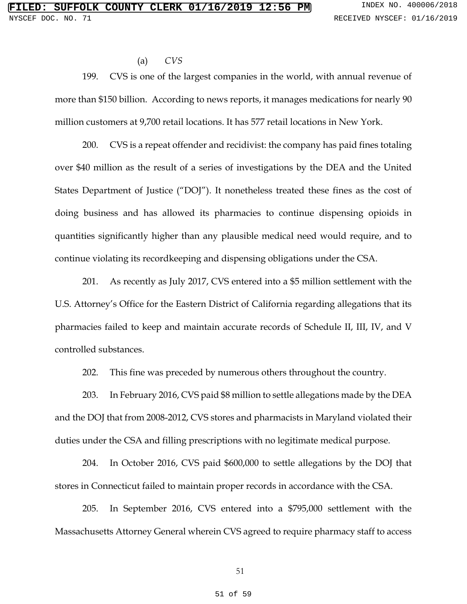#### (a) *CVS*

199. CVS is one of the largest companies in the world, with annual revenue of more than \$150 billion. According to news reports, it manages medications for nearly 90 million customers at 9,700 retail locations. It has 577 retail locations in New York.

200. CVS is a repeat offender and recidivist: the company has paid fines totaling over \$40 million as the result of a series of investigations by the DEA and the United States Department of Justice ("DOJ"). It nonetheless treated these fines as the cost of doing business and has allowed its pharmacies to continue dispensing opioids in quantities significantly higher than any plausible medical need would require, and to continue violating its recordkeeping and dispensing obligations under the CSA.

201. As recently as July 2017, CVS entered into a \$5 million settlement with the U.S. Attorney's Office for the Eastern District of California regarding allegations that its pharmacies failed to keep and maintain accurate records of Schedule II, III, IV, and V controlled substances.

202. This fine was preceded by numerous others throughout the country.

203. In February 2016, CVS paid \$8 million to settle allegations made by the DEA and the DOJ that from 2008-2012, CVS stores and pharmacists in Maryland violated their duties under the CSA and filling prescriptions with no legitimate medical purpose.

204. In October 2016, CVS paid \$600,000 to settle allegations by the DOJ that stores in Connecticut failed to maintain proper records in accordance with the CSA.

205. In September 2016, CVS entered into a \$795,000 settlement with the Massachusetts Attorney General wherein CVS agreed to require pharmacy staff to access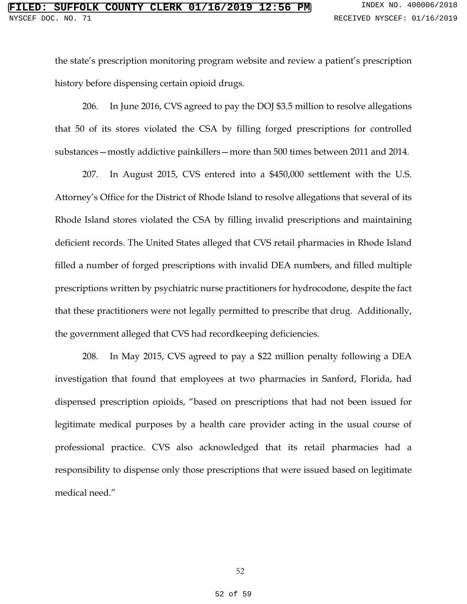the state's prescription monitoring program website and review a patient's prescription history before dispensing certain opioid drugs.

206. In June 2016, CVS agreed to pay the DOJ \$3.5 million to resolve allegations that 50 of its stores violated the CSA by filling forged prescriptions for controlled substances—mostly addictive painkillers—more than 500 times between 2011 and 2014.

207. In August 2015, CVS entered into a \$450,000 settlement with the U.S. Attorney's Office for the District of Rhode Island to resolve allegations that several of its Rhode Island stores violated the CSA by filling invalid prescriptions and maintaining deficient records. The United States alleged that CVS retail pharmacies in Rhode Island filled a number of forged prescriptions with invalid DEA numbers, and filled multiple prescriptions written by psychiatric nurse practitioners for hydrocodone, despite the fact that these practitioners were not legally permitted to prescribe that drug. Additionally, the government alleged that CVS had recordkeeping deficiencies.

208. In May 2015, CVS agreed to pay a \$22 million penalty following a DEA investigation that found that employees at two pharmacies in Sanford, Florida, had dispensed prescription opioids, "based on prescriptions that had not been issued for legitimate medical purposes by a health care provider acting in the usual course of professional practice. CVS also acknowledged that its retail pharmacies had a responsibility to dispense only those prescriptions that were issued based on legitimate medical need."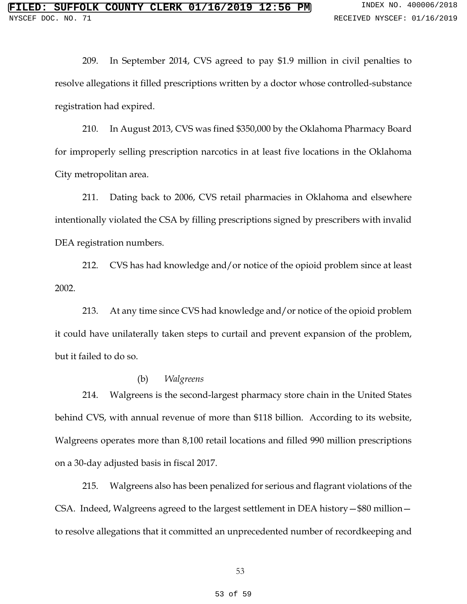209. In September 2014, CVS agreed to pay \$1.9 million in civil penalties to resolve allegations it filled prescriptions written by a doctor whose controlled-substance registration had expired.

210. In August 2013, CVS was fined \$350,000 by the Oklahoma Pharmacy Board for improperly selling prescription narcotics in at least five locations in the Oklahoma City metropolitan area.

211. Dating back to 2006, CVS retail pharmacies in Oklahoma and elsewhere intentionally violated the CSA by filling prescriptions signed by prescribers with invalid DEA registration numbers.

212. CVS has had knowledge and/or notice of the opioid problem since at least 2002.

213. At any time since CVS had knowledge and/or notice of the opioid problem it could have unilaterally taken steps to curtail and prevent expansion of the problem, but it failed to do so.

### (b) *Walgreens*

214. Walgreens is the second-largest pharmacy store chain in the United States behind CVS, with annual revenue of more than \$118 billion. According to its website, Walgreens operates more than 8,100 retail locations and filled 990 million prescriptions on a 30-day adjusted basis in fiscal 2017.

215. Walgreens also has been penalized for serious and flagrant violations of the CSA. Indeed, Walgreens agreed to the largest settlement in DEA history—\$80 million to resolve allegations that it committed an unprecedented number of recordkeeping and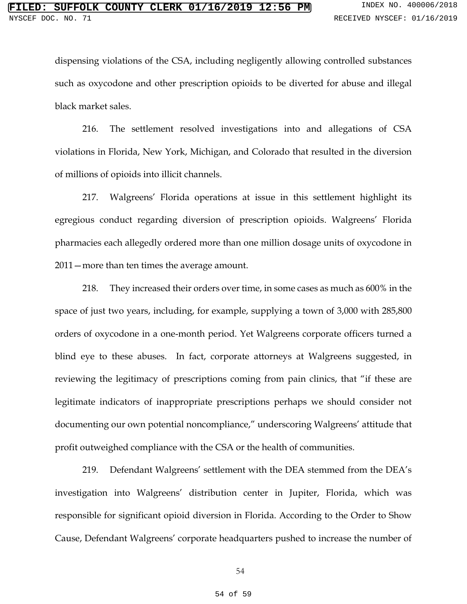dispensing violations of the CSA, including negligently allowing controlled substances such as oxycodone and other prescription opioids to be diverted for abuse and illegal black market sales.

216. The settlement resolved investigations into and allegations of CSA violations in Florida, New York, Michigan, and Colorado that resulted in the diversion of millions of opioids into illicit channels.

217. Walgreens' Florida operations at issue in this settlement highlight its egregious conduct regarding diversion of prescription opioids. Walgreens' Florida pharmacies each allegedly ordered more than one million dosage units of oxycodone in 2011—more than ten times the average amount.

218. They increased their orders over time, in some cases as much as 600% in the space of just two years, including, for example, supplying a town of 3,000 with 285,800 orders of oxycodone in a one-month period. Yet Walgreens corporate officers turned a blind eye to these abuses. In fact, corporate attorneys at Walgreens suggested, in reviewing the legitimacy of prescriptions coming from pain clinics, that "if these are legitimate indicators of inappropriate prescriptions perhaps we should consider not documenting our own potential noncompliance," underscoring Walgreens' attitude that profit outweighed compliance with the CSA or the health of communities.

219. Defendant Walgreens' settlement with the DEA stemmed from the DEA's investigation into Walgreens' distribution center in Jupiter, Florida, which was responsible for significant opioid diversion in Florida. According to the Order to Show Cause, Defendant Walgreens' corporate headquarters pushed to increase the number of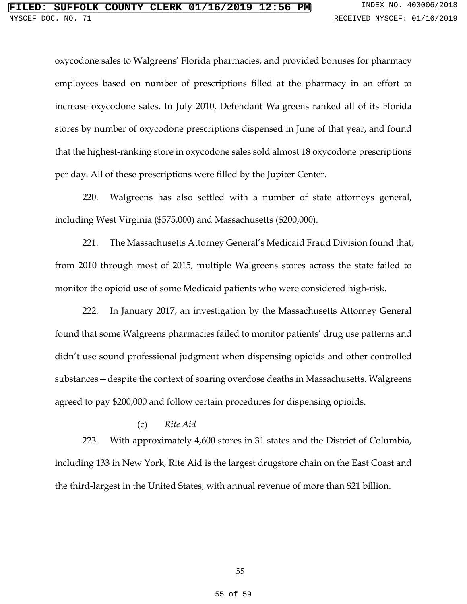oxycodone sales to Walgreens' Florida pharmacies, and provided bonuses for pharmacy employees based on number of prescriptions filled at the pharmacy in an effort to increase oxycodone sales. In July 2010, Defendant Walgreens ranked all of its Florida stores by number of oxycodone prescriptions dispensed in June of that year, and found that the highest-ranking store in oxycodone sales sold almost 18 oxycodone prescriptions per day. All of these prescriptions were filled by the Jupiter Center.

220. Walgreens has also settled with a number of state attorneys general, including West Virginia (\$575,000) and Massachusetts (\$200,000).

221. The Massachusetts Attorney General's Medicaid Fraud Division found that, from 2010 through most of 2015, multiple Walgreens stores across the state failed to monitor the opioid use of some Medicaid patients who were considered high-risk.

222. In January 2017, an investigation by the Massachusetts Attorney General found that some Walgreens pharmacies failed to monitor patients' drug use patterns and didn't use sound professional judgment when dispensing opioids and other controlled substances—despite the context of soaring overdose deaths in Massachusetts. Walgreens agreed to pay \$200,000 and follow certain procedures for dispensing opioids.

## (c) *Rite Aid*

223. With approximately 4,600 stores in 31 states and the District of Columbia, including 133 in New York, Rite Aid is the largest drugstore chain on the East Coast and the third-largest in the United States, with annual revenue of more than \$21 billion.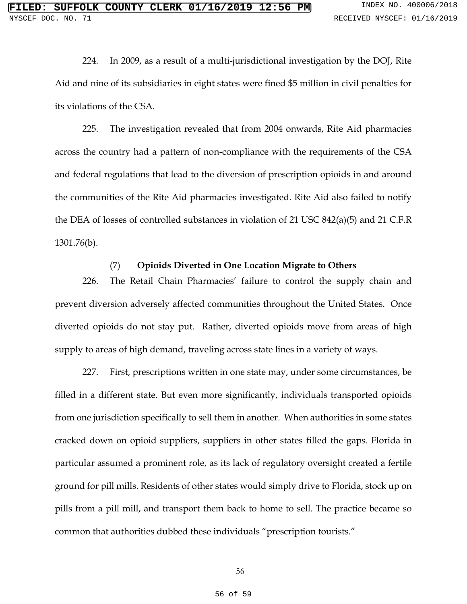224. In 2009, as a result of a multi-jurisdictional investigation by the DOJ, Rite Aid and nine of its subsidiaries in eight states were fined \$5 million in civil penalties for its violations of the CSA.

225. The investigation revealed that from 2004 onwards, Rite Aid pharmacies across the country had a pattern of non-compliance with the requirements of the CSA and federal regulations that lead to the diversion of prescription opioids in and around the communities of the Rite Aid pharmacies investigated. Rite Aid also failed to notify the DEA of losses of controlled substances in violation of 21 USC 842(a)(5) and 21 C.F.R 1301.76(b).

### (7) **Opioids Diverted in One Location Migrate to Others**

226. The Retail Chain Pharmacies' failure to control the supply chain and prevent diversion adversely affected communities throughout the United States. Once diverted opioids do not stay put. Rather, diverted opioids move from areas of high supply to areas of high demand, traveling across state lines in a variety of ways.

227. First, prescriptions written in one state may, under some circumstances, be filled in a different state. But even more significantly, individuals transported opioids from one jurisdiction specifically to sell them in another. When authorities in some states cracked down on opioid suppliers, suppliers in other states filled the gaps. Florida in particular assumed a prominent role, as its lack of regulatory oversight created a fertile ground for pill mills. Residents of other states would simply drive to Florida, stock up on pills from a pill mill, and transport them back to home to sell. The practice became so common that authorities dubbed these individuals "prescription tourists."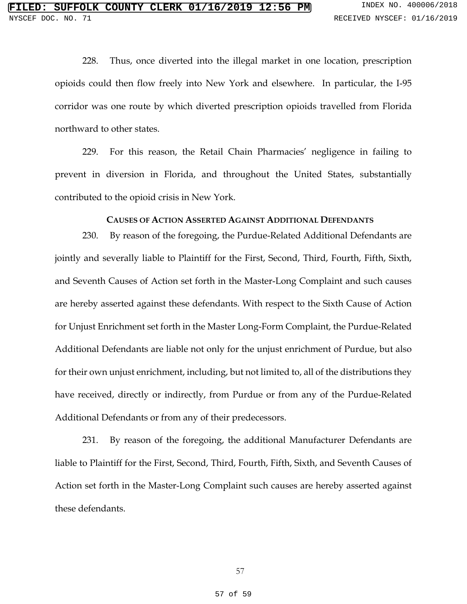228. Thus, once diverted into the illegal market in one location, prescription opioids could then flow freely into New York and elsewhere. In particular, the I-95 corridor was one route by which diverted prescription opioids travelled from Florida northward to other states.

229. For this reason, the Retail Chain Pharmacies' negligence in failing to prevent in diversion in Florida, and throughout the United States, substantially contributed to the opioid crisis in New York.

#### **CAUSES OF ACTION ASSERTED AGAINST ADDITIONAL DEFENDANTS**

230. By reason of the foregoing, the Purdue-Related Additional Defendants are jointly and severally liable to Plaintiff for the First, Second, Third, Fourth, Fifth, Sixth, and Seventh Causes of Action set forth in the Master-Long Complaint and such causes are hereby asserted against these defendants. With respect to the Sixth Cause of Action for Unjust Enrichment set forth in the Master Long-Form Complaint, the Purdue-Related Additional Defendants are liable not only for the unjust enrichment of Purdue, but also for their own unjust enrichment, including, but not limited to, all of the distributions they have received, directly or indirectly, from Purdue or from any of the Purdue-Related Additional Defendants or from any of their predecessors.

231. By reason of the foregoing, the additional Manufacturer Defendants are liable to Plaintiff for the First, Second, Third, Fourth, Fifth, Sixth, and Seventh Causes of Action set forth in the Master-Long Complaint such causes are hereby asserted against these defendants.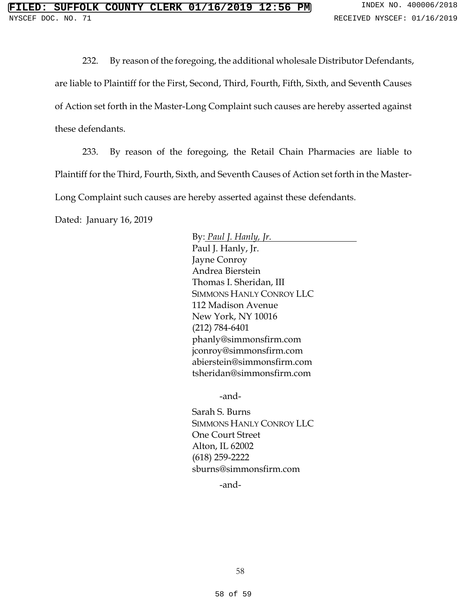232. By reason of the foregoing, the additional wholesale Distributor Defendants,

are liable to Plaintiff for the First, Second, Third, Fourth, Fifth, Sixth, and Seventh Causes

of Action set forth in the Master-Long Complaint such causes are hereby asserted against

these defendants.

233. By reason of the foregoing, the Retail Chain Pharmacies are liable to Plaintiff for the Third, Fourth, Sixth, and Seventh Causes of Action set forth in the Master-Long Complaint such causes are hereby asserted against these defendants.

Dated: January 16, 2019

By: *Paul J. Hanly, Jr.*  Paul J. Hanly, Jr. Jayne Conroy Andrea Bierstein Thomas I. Sheridan, III SIMMONS HANLY CONROY LLC 112 Madison Avenue New York, NY 10016 (212) 784-6401 phanly@simmonsfirm.com jconroy@simmonsfirm.com abierstein@simmonsfirm.com tsheridan@simmonsfirm.com

-and-

Sarah S. Burns SIMMONS HANLY CONROY LLC One Court Street Alton, IL 62002 (618) 259-2222 sburns@simmonsfirm.com

-and-